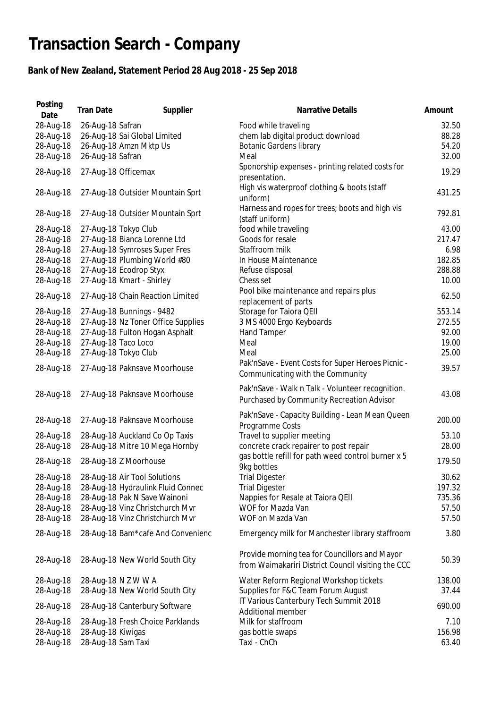## **Transaction Search - Company**

## **Bank of New Zealand, Statement Period 28 Aug 2018 - 25 Sep 2018**

| Posting<br>Date | <b>Tran Date</b>   | Supplier                           | <b>Narrative Details</b>                                                                            | Amount |
|-----------------|--------------------|------------------------------------|-----------------------------------------------------------------------------------------------------|--------|
| 28-Aug-18       | 26-Aug-18 Safran   |                                    | Food while traveling                                                                                | 32.50  |
| 28-Aug-18       |                    | 26-Aug-18 Sai Global Limited       | chem lab digital product download                                                                   | 88.28  |
| 28-Aug-18       |                    | 26-Aug-18 Amzn Mktp Us             | <b>Botanic Gardens library</b>                                                                      | 54.20  |
| 28-Aug-18       | 26-Aug-18 Safran   |                                    | Meal                                                                                                | 32.00  |
| 28-Aug-18       |                    | 27-Aug-18 Officemax                | Sponorship expenses - printing related costs for                                                    | 19.29  |
|                 |                    |                                    | presentation.                                                                                       |        |
| 28-Aug-18       |                    | 27-Aug-18 Outsider Mountain Sprt   | High vis waterproof clothing & boots (staff<br>uniform)                                             | 431.25 |
| 28-Aug-18       |                    | 27-Aug-18 Outsider Mountain Sprt   | Harness and ropes for trees; boots and high vis<br>(staff uniform)                                  | 792.81 |
| 28-Aug-18       |                    | 27-Aug-18 Tokyo Club               | food while traveling                                                                                | 43.00  |
| 28-Aug-18       |                    | 27-Aug-18 Bianca Lorenne Ltd       | Goods for resale                                                                                    | 217.47 |
| 28-Aug-18       |                    | 27-Aug-18 Symroses Super Fres      | Staffroom milk                                                                                      | 6.98   |
| 28-Aug-18       |                    | 27-Aug-18 Plumbing World #80       | In House Maintenance                                                                                | 182.85 |
| 28-Aug-18       |                    | 27-Aug-18 Ecodrop Styx             | Refuse disposal                                                                                     | 288.88 |
| 28-Aug-18       |                    | 27-Aug-18 Kmart - Shirley          | Chess set                                                                                           | 10.00  |
| 28-Aug-18       |                    | 27-Aug-18 Chain Reaction Limited   | Pool bike maintenance and repairs plus                                                              | 62.50  |
|                 |                    |                                    | replacement of parts                                                                                |        |
| 28-Aug-18       |                    | 27-Aug-18 Bunnings - 9482          | Storage for Taiora QEII                                                                             | 553.14 |
| 28-Aug-18       |                    | 27-Aug-18 Nz Toner Office Supplies | 3 MS 4000 Ergo Keyboards                                                                            | 272.55 |
| 28-Aug-18       |                    | 27-Aug-18 Fulton Hogan Asphalt     | Hand Tamper                                                                                         | 92.00  |
| 28-Aug-18       |                    | 27-Aug-18 Taco Loco                | Meal                                                                                                | 19.00  |
| 28-Aug-18       |                    | 27-Aug-18 Tokyo Club               | Meal                                                                                                | 25.00  |
| 28-Aug-18       |                    | 27-Aug-18 Paknsave Moorhouse       | Pak'nSave - Event Costs for Super Heroes Picnic -<br>Communicating with the Community               | 39.57  |
| 28-Aug-18       |                    | 27-Aug-18 Paknsave Moorhouse       | Pak'nSave - Walk n Talk - Volunteer recognition.<br>Purchased by Community Recreation Advisor       | 43.08  |
| 28-Aug-18       |                    | 27-Aug-18 Paknsave Moorhouse       | Pak'nSave - Capacity Building - Lean Mean Queen<br>Programme Costs                                  | 200.00 |
| 28-Aug-18       |                    | 28-Aug-18 Auckland Co Op Taxis     | Travel to supplier meeting                                                                          | 53.10  |
| 28-Aug-18       |                    | 28-Aug-18 Mitre 10 Mega Hornby     | concrete crack repairer to post repair                                                              | 28.00  |
| 28-Aug-18       |                    | 28-Aug-18 Z Moorhouse              | gas bottle refill for path weed control burner x 5                                                  | 179.50 |
|                 |                    |                                    | 9kg bottles                                                                                         |        |
| 28-Aug-18       |                    | 28-Aug-18 Air Tool Solutions       | <b>Trial Digester</b>                                                                               | 30.62  |
| 28-Aug-18       |                    | 28-Aug-18 Hydraulink Fluid Connec  | <b>Trial Digester</b>                                                                               | 197.32 |
| 28-Aug-18       |                    | 28-Aug-18 Pak N Save Wainoni       | Nappies for Resale at Taiora QEII                                                                   | 735.36 |
| 28-Aug-18       |                    | 28-Aug-18 Vinz Christchurch Mvr    | WOF for Mazda Van                                                                                   | 57.50  |
| 28-Aug-18       |                    | 28-Aug-18 Vinz Christchurch Mvr    | WOF on Mazda Van                                                                                    | 57.50  |
| 28-Aug-18       |                    | 28-Aug-18 Bam*cafe And Convenienc  | Emergency milk for Manchester library staffroom                                                     | 3.80   |
| 28-Aug-18       |                    | 28-Aug-18 New World South City     | Provide morning tea for Councillors and Mayor<br>from Waimakariri District Council visiting the CCC | 50.39  |
| 28-Aug-18       |                    | 28-Aug-18 N Z W W A                | Water Reform Regional Workshop tickets                                                              | 138.00 |
| 28-Aug-18       |                    | 28-Aug-18 New World South City     | Supplies for F&C Team Forum August                                                                  | 37.44  |
|                 |                    |                                    | IT Various Canterbury Tech Summit 2018                                                              |        |
| 28-Aug-18       |                    | 28-Aug-18 Canterbury Software      | Additional member                                                                                   | 690.00 |
| 28-Aug-18       |                    | 28-Aug-18 Fresh Choice Parklands   | Milk for staffroom                                                                                  | 7.10   |
| 28-Aug-18       | 28-Aug-18 Kiwigas  |                                    | gas bottle swaps                                                                                    | 156.98 |
| 28-Aug-18       | 28-Aug-18 Sam Taxi |                                    | Taxi - ChCh                                                                                         | 63.40  |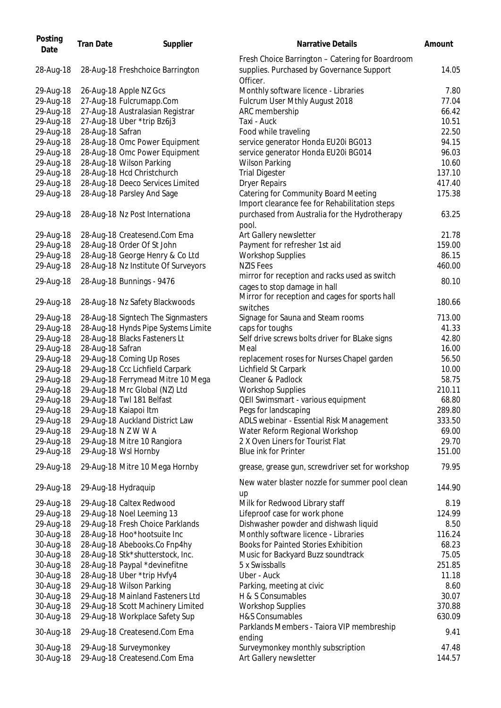| Posting<br>Date | <b>Tran Date</b>    | Supplier                            | Narrative Details                                                                                         | Amount |
|-----------------|---------------------|-------------------------------------|-----------------------------------------------------------------------------------------------------------|--------|
| 28-Aug-18       |                     | 28-Aug-18 Freshchoice Barrington    | Fresh Choice Barrington - Catering for Boardroom<br>supplies. Purchased by Governance Support<br>Officer. | 14.05  |
| 29-Aug-18       |                     | 26-Aug-18 Apple NZ Gcs              | Monthly software licence - Libraries                                                                      | 7.80   |
| 29-Aug-18       |                     | 27-Aug-18 Fulcrumapp.Com            | Fulcrum User Mthly August 2018                                                                            | 77.04  |
| 29-Aug-18       |                     | 27-Aug-18 Australasian Registrar    | ARC membership                                                                                            | 66.42  |
| 29-Aug-18       |                     | 27-Aug-18 Uber *trip Bz6j3          | Taxi - Auck                                                                                               | 10.51  |
|                 | 28-Aug-18 Safran    |                                     |                                                                                                           | 22.50  |
| 29-Aug-18       |                     |                                     | Food while traveling                                                                                      |        |
| 29-Aug-18       |                     | 28-Aug-18 Omc Power Equipment       | service generator Honda EU20i BG013                                                                       | 94.15  |
| 29-Aug-18       |                     | 28-Aug-18 Omc Power Equipment       | service generator Honda EU20i BG014                                                                       | 96.03  |
| 29-Aug-18       |                     | 28-Aug-18 Wilson Parking            | <b>Wilson Parking</b>                                                                                     | 10.60  |
| 29-Aug-18       |                     | 28-Aug-18 Hcd Christchurch          | <b>Trial Digester</b>                                                                                     | 137.10 |
| 29-Aug-18       |                     | 28-Aug-18 Deeco Services Limited    | <b>Dryer Repairs</b>                                                                                      | 417.40 |
| 29-Aug-18       |                     | 28-Aug-18 Parsley And Sage          | <b>Catering for Community Board Meeting</b><br>Import clearance fee for Rehabilitation steps              | 175.38 |
| 29-Aug-18       |                     | 28-Aug-18 Nz Post Internationa      | purchased from Australia for the Hydrotherapy<br>pool.                                                    | 63.25  |
| 29-Aug-18       |                     | 28-Aug-18 Createsend.Com Ema        | Art Gallery newsletter                                                                                    | 21.78  |
| 29-Aug-18       |                     | 28-Aug-18 Order Of St John          | Payment for refresher 1st aid                                                                             | 159.00 |
| 29-Aug-18       |                     | 28-Aug-18 George Henry & Co Ltd     | <b>Workshop Supplies</b>                                                                                  | 86.15  |
| 29-Aug-18       |                     | 28-Aug-18 Nz Institute Of Surveyors | <b>NZIS Fees</b>                                                                                          | 460.00 |
| 29-Aug-18       |                     | 28-Aug-18 Bunnings - 9476           | mirror for reception and racks used as switch<br>cages to stop damage in hall                             | 80.10  |
| 29-Aug-18       |                     | 28-Aug-18 Nz Safety Blackwoods      | Mirror for reception and cages for sports hall<br>switches                                                | 180.66 |
| 29-Aug-18       |                     | 28-Aug-18 Signtech The Signmasters  | Signage for Sauna and Steam rooms                                                                         | 713.00 |
| 29-Aug-18       |                     | 28-Aug-18 Hynds Pipe Systems Limite | caps for toughs                                                                                           | 41.33  |
| 29-Aug-18       |                     | 28-Aug-18 Blacks Fasteners Lt       | Self drive screws bolts driver for BLake signs                                                            | 42.80  |
|                 |                     |                                     | Meal                                                                                                      | 16.00  |
| 29-Aug-18       | 28-Aug-18 Safran    |                                     |                                                                                                           |        |
| 29-Aug-18       |                     | 29-Aug-18 Coming Up Roses           | replacement roses for Nurses Chapel garden                                                                | 56.50  |
| 29-Aug-18       |                     | 29-Aug-18 Ccc Lichfield Carpark     | Lichfield St Carpark                                                                                      | 10.00  |
| 29-Aug-18       |                     | 29-Aug-18 Ferrymead Mitre 10 Mega   | Cleaner & Padlock                                                                                         | 58.75  |
| 29-Aug-18       |                     | 29-Aug-18 Mrc Global (NZ) Ltd       | <b>Workshop Supplies</b>                                                                                  | 210.11 |
| 29-Aug-18       |                     | 29-Aug-18 Twl 181 Belfast           | QEII Swimsmart - various equipment                                                                        | 68.80  |
| 29-Aug-18       |                     | 29-Aug-18 Kaiapoi Itm               | Pegs for landscaping                                                                                      | 289.80 |
| 29-Aug-18       |                     | 29-Aug-18 Auckland District Law     | ADLS webinar - Essential Risk Management                                                                  | 333.50 |
| 29-Aug-18       |                     | 29-Aug-18 N Z W W A                 | Water Reform Regional Workshop                                                                            | 69.00  |
| 29-Aug-18       |                     | 29-Aug-18 Mitre 10 Rangiora         | 2 X Oven Liners for Tourist Flat                                                                          | 29.70  |
| 29-Aug-18       |                     | 29-Aug-18 Wsl Hornby                | <b>Blue ink for Printer</b>                                                                               | 151.00 |
| 29-Aug-18       |                     | 29-Aug-18 Mitre 10 Mega Hornby      | grease, grease gun, screwdriver set for workshop                                                          | 79.95  |
| 29-Aug-18       | 29-Aug-18 Hydraquip |                                     | New water blaster nozzle for summer pool clean<br>up                                                      | 144.90 |
| 29-Aug-18       |                     | 29-Aug-18 Caltex Redwood            | Milk for Redwood Library staff                                                                            | 8.19   |
| 29-Aug-18       |                     | 29-Aug-18 Noel Leeming 13           | Lifeproof case for work phone                                                                             | 124.99 |
| 29-Aug-18       |                     | 29-Aug-18 Fresh Choice Parklands    | Dishwasher powder and dishwash liquid                                                                     | 8.50   |
| 30-Aug-18       |                     | 28-Aug-18 Hoo*hootsuite Inc         | Monthly software licence - Libraries                                                                      | 116.24 |
| 30-Aug-18       |                     | 28-Aug-18 Abebooks.Co Fnp4hy        | <b>Books for Painted Stories Exhibition</b>                                                               | 68.23  |
| 30-Aug-18       |                     | 28-Aug-18 Stk*shutterstock, Inc.    | Music for Backyard Buzz soundtrack                                                                        | 75.05  |
| 30-Aug-18       |                     | 28-Aug-18 Paypal *devinefitne       | 5 x Swissballs                                                                                            | 251.85 |
| 30-Aug-18       |                     | 28-Aug-18 Uber *trip Hvfy4          | Uber - Auck                                                                                               | 11.18  |
| 30-Aug-18       |                     | 29-Aug-18 Wilson Parking            | Parking, meeting at civic                                                                                 | 8.60   |
| 30-Aug-18       |                     | 29-Aug-18 Mainland Fasteners Ltd    | H & S Consumables                                                                                         | 30.07  |
| 30-Aug-18       |                     | 29-Aug-18 Scott Machinery Limited   | <b>Workshop Supplies</b>                                                                                  | 370.88 |
| 30-Aug-18       |                     | 29-Aug-18 Workplace Safety Sup      | H&S Consumables                                                                                           | 630.09 |
|                 |                     |                                     | Parklands Members - Taiora VIP membreship                                                                 |        |
| 30-Aug-18       |                     | 29-Aug-18 Createsend.Com Ema        | ending                                                                                                    | 9.41   |
| 30-Aug-18       |                     | 29-Aug-18 Surveymonkey              | Surveymonkey monthly subscription                                                                         | 47.48  |
| 30-Aug-18       |                     | 29-Aug-18 Createsend.Com Ema        | Art Gallery newsletter                                                                                    | 144.57 |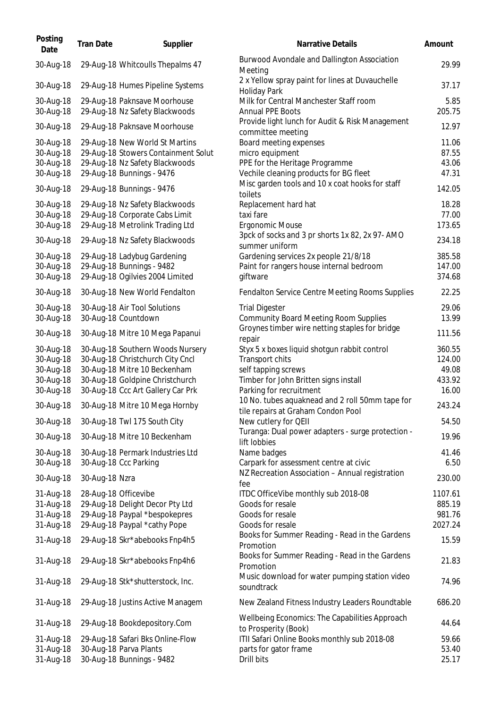| Posting<br>Date                                                            | <b>Tran Date</b> | Supplier                                                                                                                                                                                          | Narrative Details                                                                                                                                                                                             | Amount                                                 |
|----------------------------------------------------------------------------|------------------|---------------------------------------------------------------------------------------------------------------------------------------------------------------------------------------------------|---------------------------------------------------------------------------------------------------------------------------------------------------------------------------------------------------------------|--------------------------------------------------------|
| 30-Aug-18                                                                  |                  | 29-Aug-18 Whitcoulls Thepalms 47                                                                                                                                                                  | Burwood Avondale and Dallington Association<br>Meeting                                                                                                                                                        | 29.99                                                  |
| 30-Aug-18                                                                  |                  | 29-Aug-18 Humes Pipeline Systems                                                                                                                                                                  | 2 x Yellow spray paint for lines at Duvauchelle<br><b>Holiday Park</b>                                                                                                                                        | 37.17                                                  |
| 30-Aug-18<br>30-Aug-18                                                     |                  | 29-Aug-18 Paknsave Moorhouse<br>29-Aug-18 Nz Safety Blackwoods                                                                                                                                    | Milk for Central Manchester Staff room<br>Annual PPE Boots                                                                                                                                                    | 5.85<br>205.75                                         |
| 30-Aug-18                                                                  |                  | 29-Aug-18 Paknsave Moorhouse                                                                                                                                                                      | Provide light lunch for Audit & Risk Management<br>committee meeting                                                                                                                                          | 12.97                                                  |
| 30-Aug-18<br>30-Aug-18<br>30-Aug-18<br>30-Aug-18                           |                  | 29-Aug-18 New World St Martins<br>29-Aug-18 Stowers Containment Solut<br>29-Aug-18 Nz Safety Blackwoods<br>29-Aug-18 Bunnings - 9476                                                              | Board meeting expenses<br>micro equipment<br>PPE for the Heritage Programme<br>Vechile cleaning products for BG fleet<br>Misc garden tools and 10 x coat hooks for staff                                      | 11.06<br>87.55<br>43.06<br>47.31                       |
| 30-Aug-18<br>30-Aug-18<br>30-Aug-18<br>30-Aug-18<br>30-Aug-18<br>30-Aug-18 |                  | 29-Aug-18 Bunnings - 9476<br>29-Aug-18 Nz Safety Blackwoods<br>29-Aug-18 Corporate Cabs Limit<br>29-Aug-18 Metrolink Trading Ltd<br>29-Aug-18 Nz Safety Blackwoods<br>29-Aug-18 Ladybug Gardening | toilets<br>Replacement hard hat<br>taxi fare<br>Ergonomic Mouse<br>3pck of socks and 3 pr shorts 1x 82, 2x 97-AMO<br>summer uniform<br>Gardening services 2x people 21/8/18                                   | 142.05<br>18.28<br>77.00<br>173.65<br>234.18<br>385.58 |
| 30-Aug-18<br>30-Aug-18                                                     |                  | 29-Aug-18 Bunnings - 9482<br>29-Aug-18 Ogilvies 2004 Limited                                                                                                                                      | Paint for rangers house internal bedroom<br>giftware                                                                                                                                                          | 147.00<br>374.68                                       |
| 30-Aug-18                                                                  |                  | 30-Aug-18 New World Fendalton                                                                                                                                                                     | Fendalton Service Centre Meeting Rooms Supplies                                                                                                                                                               | 22.25                                                  |
| 30-Aug-18<br>30-Aug-18                                                     |                  | 30-Aug-18 Air Tool Solutions<br>30-Aug-18 Countdown                                                                                                                                               | <b>Trial Digester</b><br><b>Community Board Meeting Room Supplies</b>                                                                                                                                         | 29.06<br>13.99                                         |
| 30-Aug-18                                                                  |                  | 30-Aug-18 Mitre 10 Mega Papanui                                                                                                                                                                   | Groynes timber wire netting staples for bridge<br>repair                                                                                                                                                      | 111.56                                                 |
| 30-Aug-18<br>30-Aug-18<br>30-Aug-18<br>30-Aug-18<br>30-Aug-18              |                  | 30-Aug-18 Southern Woods Nursery<br>30-Aug-18 Christchurch City Cncl<br>30-Aug-18 Mitre 10 Beckenham<br>30-Aug-18 Goldpine Christchurch<br>30-Aug-18 Ccc Art Gallery Car Prk                      | Styx 5 x boxes liquid shotgun rabbit control<br>Transport chits<br>self tapping screws<br>Timber for John Britten signs install<br>Parking for recruitment<br>10 No. tubes aquaknead and 2 roll 50mm tape for | 360.55<br>124.00<br>49.08<br>433.92<br>16.00           |
| 30-Aug-18                                                                  |                  | 30-Aug-18 Mitre 10 Mega Hornby                                                                                                                                                                    | tile repairs at Graham Condon Pool                                                                                                                                                                            | 243.24                                                 |
| 30-Aug-18<br>30-Aug-18                                                     |                  | 30-Aug-18 Twl 175 South City<br>30-Aug-18 Mitre 10 Beckenham                                                                                                                                      | New cutlery for QEII<br>Turanga: Dual power adapters - surge protection -                                                                                                                                     | 54.50<br>19.96                                         |
| 30-Aug-18<br>30-Aug-18<br>30-Aug-18                                        | 30-Aug-18 Nzra   | 30-Aug-18 Permark Industries Ltd<br>30-Aug-18 Ccc Parking                                                                                                                                         | lift lobbies<br>Name badges<br>Carpark for assessment centre at civic<br>NZ Recreation Association - Annual registration                                                                                      | 41.46<br>6.50<br>230.00                                |
| 31-Aug-18<br>31-Aug-18<br>31-Aug-18<br>31-Aug-18                           |                  | 28-Aug-18 Officevibe<br>29-Aug-18 Delight Decor Pty Ltd<br>29-Aug-18 Paypal *bespokepres<br>29-Aug-18 Paypal *cathy Pope                                                                          | fee<br>ITDC OfficeVibe monthly sub 2018-08<br>Goods for resale<br>Goods for resale<br>Goods for resale                                                                                                        | 1107.61<br>885.19<br>981.76<br>2027.24                 |
| 31-Aug-18                                                                  |                  | 29-Aug-18 Skr*abebooks Fnp4h5                                                                                                                                                                     | Books for Summer Reading - Read in the Gardens<br>Promotion                                                                                                                                                   | 15.59                                                  |
| 31-Aug-18<br>31-Aug-18                                                     |                  | 29-Aug-18 Skr*abebooks Fnp4h6<br>29-Aug-18 Stk*shutterstock, Inc.                                                                                                                                 | Books for Summer Reading - Read in the Gardens<br>Promotion<br>Music download for water pumping station video<br>soundtrack                                                                                   | 21.83<br>74.96                                         |
| 31-Aug-18                                                                  |                  | 29-Aug-18 Justins Active Managem                                                                                                                                                                  | New Zealand Fitness Industry Leaders Roundtable                                                                                                                                                               | 686.20                                                 |
| 31-Aug-18                                                                  |                  | 29-Aug-18 Bookdepository.Com                                                                                                                                                                      | Wellbeing Economics: The Capabilities Approach<br>to Prosperity (Book)                                                                                                                                        | 44.64                                                  |
| 31-Aug-18<br>31-Aug-18<br>31-Aug-18                                        |                  | 29-Aug-18 Safari Bks Online-Flow<br>30-Aug-18 Parva Plants<br>30-Aug-18 Bunnings - 9482                                                                                                           | ITII Safari Online Books monthly sub 2018-08<br>parts for gator frame<br>Drill bits                                                                                                                           | 59.66<br>53.40<br>25.17                                |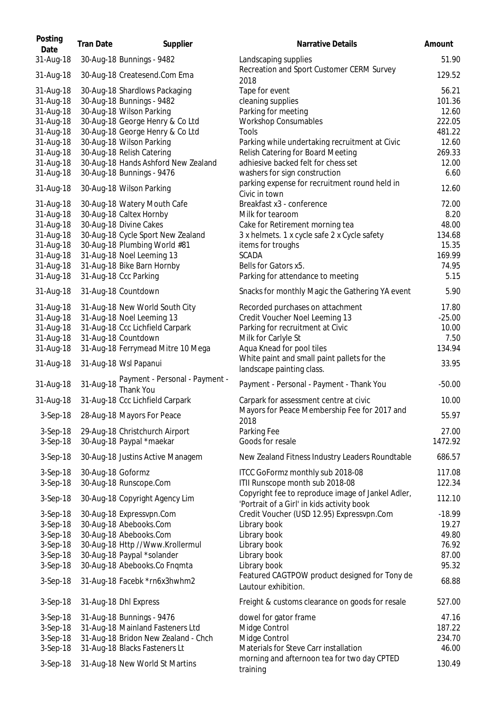| Posting                | <b>Tran Date</b>  | Supplier                                                 | <b>Narrative Details</b>                                                                | Amount           |
|------------------------|-------------------|----------------------------------------------------------|-----------------------------------------------------------------------------------------|------------------|
| Date<br>31-Aug-18      |                   | 30-Aug-18 Bunnings - 9482                                | Landscaping supplies                                                                    | 51.90            |
| 31-Aug-18              |                   | 30-Aug-18 Createsend.Com Ema                             | Recreation and Sport Customer CERM Survey<br>2018                                       | 129.52           |
| 31-Aug-18              |                   | 30-Aug-18 Shardlows Packaging                            | Tape for event                                                                          | 56.21            |
| 31-Aug-18              |                   | 30-Aug-18 Bunnings - 9482                                | cleaning supplies                                                                       | 101.36           |
| 31-Aug-18              |                   | 30-Aug-18 Wilson Parking                                 | Parking for meeting                                                                     | 12.60            |
| 31-Aug-18              |                   | 30-Aug-18 George Henry & Co Ltd                          | <b>Workshop Consumables</b>                                                             | 222.05           |
| 31-Aug-18              |                   | 30-Aug-18 George Henry & Co Ltd                          | Tools                                                                                   | 481.22           |
| 31-Aug-18              |                   | 30-Aug-18 Wilson Parking                                 | Parking while undertaking recruitment at Civic                                          | 12.60            |
| 31-Aug-18              |                   | 30-Aug-18 Relish Catering                                | Relish Catering for Board Meeting                                                       | 269.33           |
| 31-Aug-18              |                   | 30-Aug-18 Hands Ashford New Zealand                      | adhiesive backed felt for chess set                                                     | 12.00            |
| 31-Aug-18              |                   | 30-Aug-18 Bunnings - 9476                                | washers for sign construction                                                           | 6.60             |
| 31-Aug-18              |                   | 30-Aug-18 Wilson Parking                                 | parking expense for recruitment round held in<br>Civic in town                          | 12.60            |
| 31-Aug-18              |                   | 30-Aug-18 Watery Mouth Cafe                              | Breakfast x3 - conference                                                               | 72.00            |
| 31-Aug-18              |                   | 30-Aug-18 Caltex Hornby                                  | Milk for tearoom                                                                        | 8.20             |
| 31-Aug-18              |                   | 30-Aug-18 Divine Cakes                                   | Cake for Retirement morning tea                                                         | 48.00            |
| 31-Aug-18              |                   | 30-Aug-18 Cycle Sport New Zealand                        | 3 x helmets. 1 x cycle safe 2 x Cycle safety                                            | 134.68           |
| 31-Aug-18              |                   | 30-Aug-18 Plumbing World #81                             | items for troughs                                                                       | 15.35            |
| 31-Aug-18              |                   | 31-Aug-18 Noel Leeming 13                                | <b>SCADA</b>                                                                            | 169.99           |
| 31-Aug-18              |                   | 31-Aug-18 Bike Barn Hornby                               | Bells for Gators x5.                                                                    | 74.95            |
| 31-Aug-18              |                   | 31-Aug-18 Ccc Parking                                    | Parking for attendance to meeting                                                       | 5.15             |
| 31-Aug-18              |                   | 31-Aug-18 Countdown                                      | Snacks for monthly Magic the Gathering YA event                                         | 5.90             |
| 31-Aug-18              |                   | 31-Aug-18 New World South City                           | Recorded purchases on attachment                                                        | 17.80            |
| 31-Aug-18              |                   | 31-Aug-18 Noel Leeming 13                                | Credit Voucher Noel Leeming 13                                                          | $-25.00$         |
| 31-Aug-18              |                   | 31-Aug-18 Ccc Lichfield Carpark                          | Parking for recruitment at Civic                                                        | 10.00            |
| 31-Aug-18              |                   | 31-Aug-18 Countdown                                      | Milk for Carlyle St                                                                     | 7.50             |
| 31-Aug-18              |                   | 31-Aug-18 Ferrymead Mitre 10 Mega                        | Aqua Knead for pool tiles                                                               | 134.94           |
| 31-Aug-18              |                   | 31-Aug-18 Wsl Papanui                                    | White paint and small paint pallets for the<br>landscape painting class.                | 33.95            |
| 31-Aug-18              | 31-Aug-18         | Payment - Personal - Payment -<br>Thank You              | Payment - Personal - Payment - Thank You                                                | $-50.00$         |
| 31-Aug-18              |                   | 31-Aug-18 Ccc Lichfield Carpark                          | Carpark for assessment centre at civic                                                  | 10.00            |
| 3-Sep-18               |                   | 28-Aug-18 Mayors For Peace                               | Mayors for Peace Membership Fee for 2017 and<br>2018                                    | 55.97            |
| $3-Sep-18$             |                   | 29-Aug-18 Christchurch Airport                           | Parking Fee                                                                             | 27.00            |
| $3-Sep-18$             |                   | 30-Aug-18 Paypal *maekar                                 | Goods for resale                                                                        | 1472.92          |
| $3-Sep-18$             |                   | 30-Aug-18 Justins Active Managem                         | New Zealand Fitness Industry Leaders Roundtable                                         | 686.57           |
|                        |                   |                                                          |                                                                                         |                  |
| $3-Sep-18$             | 30-Aug-18 Goformz |                                                          | ITCC GoFormz monthly sub 2018-08                                                        | 117.08           |
| 3-Sep-18<br>$3-Sep-18$ |                   | 30-Aug-18 Runscope.Com<br>30-Aug-18 Copyright Agency Lim | ITII Runscope month sub 2018-08<br>Copyright fee to reproduce image of Jankel Adler,    | 122.34<br>112.10 |
| 3-Sep-18               |                   | 30-Aug-18 Expressvpn.Com                                 | 'Portrait of a Girl' in kids activity book<br>Credit Voucher (USD 12.95) Expressvpn.Com | $-18.99$         |
| 3-Sep-18               |                   | 30-Aug-18 Abebooks.Com                                   | Library book                                                                            | 19.27            |
| 3-Sep-18               |                   | 30-Aug-18 Abebooks.Com                                   | Library book                                                                            | 49.80            |
| 3-Sep-18               |                   | 30-Aug-18 Http //Www.Krollermul                          | Library book                                                                            | 76.92            |
| 3-Sep-18               |                   | 30-Aug-18 Paypal *solander                               | Library book                                                                            | 87.00            |
| 3-Sep-18               |                   | 30-Aug-18 Abebooks.Co Fnqmta                             | Library book                                                                            | 95.32            |
| 3-Sep-18               |                   | 31-Aug-18 Facebk *rn6x3hwhm2                             | Featured CAGTPOW product designed for Tony de<br>Lautour exhibition.                    | 68.88            |
| $3-Sep-18$             |                   | 31-Aug-18 Dhl Express                                    | Freight & customs clearance on goods for resale                                         | 527.00           |
| 3-Sep-18               |                   | 31-Aug-18 Bunnings - 9476                                | dowel for gator frame                                                                   | 47.16            |
| 3-Sep-18               |                   | 31-Aug-18 Mainland Fasteners Ltd                         | Midge Control                                                                           | 187.22           |
| 3-Sep-18               |                   | 31-Aug-18 Bridon New Zealand - Chch                      | Midge Control                                                                           | 234.70           |
| 3-Sep-18               |                   | 31-Aug-18 Blacks Fasteners Lt                            | Materials for Steve Carr installation                                                   | 46.00            |
| $3-Sep-18$             |                   | 31-Aug-18 New World St Martins                           | morning and afternoon tea for two day CPTED<br>training                                 | 130.49           |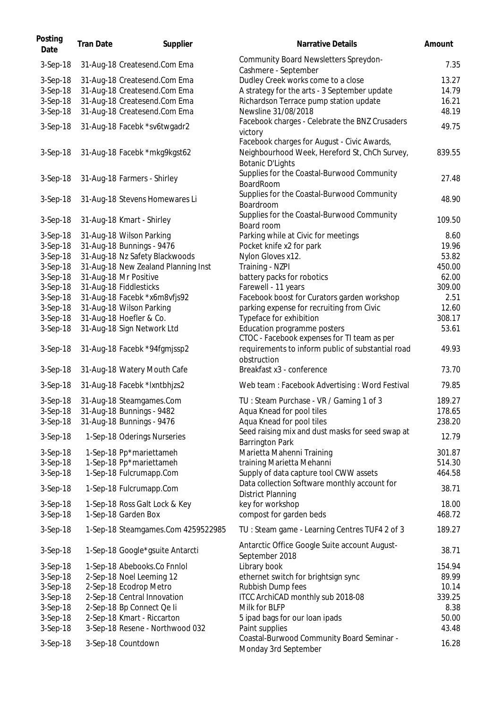| Posting<br>Date | <b>Tran Date</b> | Supplier                            | Narrative Details                                                          | Amount |
|-----------------|------------------|-------------------------------------|----------------------------------------------------------------------------|--------|
| 3-Sep-18        |                  | 31-Aug-18 Createsend.Com Ema        | Community Board Newsletters Spreydon-<br>Cashmere - September              | 7.35   |
| $3-Sep-18$      |                  | 31-Aug-18 Createsend.Com Ema        | Dudley Creek works come to a close                                         | 13.27  |
| 3-Sep-18        |                  | 31-Aug-18 Createsend.Com Ema        | A strategy for the arts - 3 September update                               | 14.79  |
| 3-Sep-18        |                  | 31-Aug-18 Createsend.Com Ema        | Richardson Terrace pump station update                                     | 16.21  |
| 3-Sep-18        |                  | 31-Aug-18 Createsend.Com Ema        | Newsline 31/08/2018                                                        | 48.19  |
| $3-Sep-18$      |                  | 31-Aug-18 Facebk *sv6twgadr2        | Facebook charges - Celebrate the BNZ Crusaders<br>victory                  | 49.75  |
|                 |                  |                                     | Facebook charges for August - Civic Awards,                                |        |
| $3-Sep-18$      |                  | 31-Aug-18 Facebk *mkg9kgst62        | Neighbourhood Week, Hereford St, ChCh Survey,<br><b>Botanic D'Lights</b>   | 839.55 |
| $3-Sep-18$      |                  | 31-Aug-18 Farmers - Shirley         | Supplies for the Coastal-Burwood Community<br>BoardRoom                    | 27.48  |
| $3-Sep-18$      |                  | 31-Aug-18 Stevens Homewares Li      | Supplies for the Coastal-Burwood Community<br>Boardroom                    | 48.90  |
| $3-Sep-18$      |                  | 31-Aug-18 Kmart - Shirley           | Supplies for the Coastal-Burwood Community<br>Board room                   | 109.50 |
| 3-Sep-18        |                  | 31-Aug-18 Wilson Parking            | Parking while at Civic for meetings                                        | 8.60   |
| 3-Sep-18        |                  | 31-Aug-18 Bunnings - 9476           | Pocket knife x2 for park                                                   | 19.96  |
| 3-Sep-18        |                  | 31-Aug-18 Nz Safety Blackwoods      | Nylon Gloves x12.                                                          | 53.82  |
| 3-Sep-18        |                  | 31-Aug-18 New Zealand Planning Inst | Training - NZPI                                                            | 450.00 |
| 3-Sep-18        |                  | 31-Aug-18 Mr Positive               | battery packs for robotics                                                 | 62.00  |
| 3-Sep-18        |                  | 31-Aug-18 Fiddlesticks              | Farewell - 11 years                                                        | 309.00 |
| 3-Sep-18        |                  | 31-Aug-18 Facebk *x6m8vfjs92        | Facebook boost for Curators garden workshop                                | 2.51   |
| 3-Sep-18        |                  | 31-Aug-18 Wilson Parking            | parking expense for recruiting from Civic                                  | 12.60  |
| 3-Sep-18        |                  | 31-Aug-18 Hoefler & Co.             | Typeface for exhibition                                                    | 308.17 |
| 3-Sep-18        |                  | 31-Aug-18 Sign Network Ltd          | Education programme posters<br>CTOC - Facebook expenses for TI team as per | 53.61  |
| $3-Sep-18$      |                  | 31-Aug-18 Facebk *94fgmjssp2        | requirements to inform public of substantial road<br>obstruction           | 49.93  |
| $3-Sep-18$      |                  | 31-Aug-18 Watery Mouth Cafe         | Breakfast x3 - conference                                                  | 73.70  |
| $3-Sep-18$      |                  | 31-Aug-18 Facebk *lxntbhjzs2        | Web team: Facebook Advertising: Word Festival                              | 79.85  |
| 3-Sep-18        |                  | 31-Aug-18 Steamgames.Com            | TU: Steam Purchase - VR / Gaming 1 of 3                                    | 189.27 |
| 3-Sep-18        |                  | 31-Aug-18 Bunnings - 9482           | Aqua Knead for pool tiles                                                  | 178.65 |
| 3-Sep-18        |                  | 31-Aug-18 Bunnings - 9476           | Aqua Knead for pool tiles                                                  | 238.20 |
| $3-Sep-18$      |                  | 1-Sep-18 Oderings Nurseries         | Seed raising mix and dust masks for seed swap at<br><b>Barrington Park</b> | 12.79  |
| 3-Sep-18        |                  | 1-Sep-18 Pp*mariettameh             | Marietta Mahenni Training                                                  | 301.87 |
| 3-Sep-18        |                  | 1-Sep-18 Pp*mariettameh             | training Marietta Mehanni                                                  | 514.30 |
| 3-Sep-18        |                  | 1-Sep-18 Fulcrumapp.Com             | Supply of data capture tool CWW assets                                     | 464.58 |
| $3-Sep-18$      |                  | 1-Sep-18 Fulcrumapp.Com             | Data collection Software monthly account for<br><b>District Planning</b>   | 38.71  |
| $3-Sep-18$      |                  | 1-Sep-18 Ross Galt Lock & Key       | key for workshop                                                           | 18.00  |
| 3-Sep-18        |                  | 1-Sep-18 Garden Box                 | compost for garden beds                                                    | 468.72 |
| $3-Sep-18$      |                  | 1-Sep-18 Steamgames.Com 4259522985  | TU: Steam game - Learning Centres TUF4 2 of 3                              | 189.27 |
| $3-Sep-18$      |                  | 1-Sep-18 Google*gsuite Antarcti     | Antarctic Office Google Suite account August-<br>September 2018            | 38.71  |
| 3-Sep-18        |                  | 1-Sep-18 Abebooks.Co Fnnlol         | Library book                                                               | 154.94 |
| $3-Sep-18$      |                  | 2-Sep-18 Noel Leeming 12            | ethernet switch for brightsign sync                                        | 89.99  |
| 3-Sep-18        |                  | 2-Sep-18 Ecodrop Metro              | Rubbish Dump fees                                                          | 10.14  |
| 3-Sep-18        |                  | 2-Sep-18 Central Innovation         | ITCC ArchiCAD monthly sub 2018-08                                          | 339.25 |
| 3-Sep-18        |                  | 2-Sep-18 Bp Connect Qe li           | Milk for BLFP                                                              | 8.38   |
| $3-Sep-18$      |                  | 2-Sep-18 Kmart - Riccarton          | 5 ipad bags for our loan ipads                                             | 50.00  |
| 3-Sep-18        |                  | 3-Sep-18 Resene - Northwood 032     | Paint supplies                                                             | 43.48  |
| 3-Sep-18        |                  | 3-Sep-18 Countdown                  | Coastal-Burwood Community Board Seminar -<br>Monday 3rd September          | 16.28  |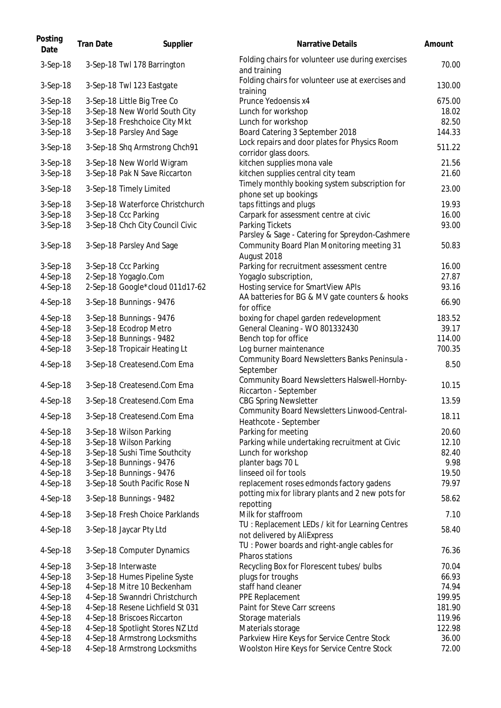| Posting<br>Date        | <b>Tran Date</b> | Supplier                                                  | Narrative Details                                                                             | Amount         |
|------------------------|------------------|-----------------------------------------------------------|-----------------------------------------------------------------------------------------------|----------------|
| 3-Sep-18               |                  | 3-Sep-18 Twl 178 Barrington                               | Folding chairs for volunteer use during exercises<br>and training                             | 70.00          |
| 3-Sep-18               |                  | 3-Sep-18 Twl 123 Eastgate                                 | Folding chairs for volunteer use at exercises and<br>training                                 | 130.00         |
| 3-Sep-18               |                  | 3-Sep-18 Little Big Tree Co                               | Prunce Yedoensis x4                                                                           | 675.00         |
| 3-Sep-18               |                  | 3-Sep-18 New World South City                             | Lunch for workshop                                                                            | 18.02          |
| 3-Sep-18               |                  | 3-Sep-18 Freshchoice City Mkt                             | Lunch for workshop                                                                            | 82.50          |
| 3-Sep-18               |                  | 3-Sep-18 Parsley And Sage                                 | Board Catering 3 September 2018                                                               | 144.33         |
| 3-Sep-18               |                  | 3-Sep-18 Shq Armstrong Chch91                             | Lock repairs and door plates for Physics Room<br>corridor glass doors.                        | 511.22         |
| 3-Sep-18               |                  | 3-Sep-18 New World Wigram                                 | kitchen supplies mona vale                                                                    | 21.56          |
| 3-Sep-18               |                  | 3-Sep-18 Pak N Save Riccarton                             | kitchen supplies central city team                                                            | 21.60          |
|                        |                  |                                                           | Timely monthly booking system subscription for                                                |                |
| 3-Sep-18               |                  | 3-Sep-18 Timely Limited                                   | phone set up bookings                                                                         | 23.00          |
| 3-Sep-18               |                  | 3-Sep-18 Waterforce Christchurch                          | taps fittings and plugs                                                                       | 19.93          |
| 3-Sep-18               |                  | 3-Sep-18 Ccc Parking                                      | Carpark for assessment centre at civic                                                        | 16.00          |
| 3-Sep-18               |                  | 3-Sep-18 Chch City Council Civic                          | Parking Tickets                                                                               | 93.00          |
|                        |                  |                                                           | Parsley & Sage - Catering for Spreydon-Cashmere                                               |                |
| 3-Sep-18               |                  | 3-Sep-18 Parsley And Sage                                 | Community Board Plan Monitoring meeting 31                                                    | 50.83          |
|                        |                  |                                                           | August 2018                                                                                   |                |
| 3-Sep-18               |                  | 3-Sep-18 Ccc Parking                                      | Parking for recruitment assessment centre                                                     | 16.00          |
| 4-Sep-18               |                  | 2-Sep-18 Yogaglo.Com                                      | Yogaglo subscription,                                                                         | 27.87          |
| 4-Sep-18               |                  | 2-Sep-18 Google*cloud 011d17-62                           | Hosting service for SmartView APIs                                                            | 93.16          |
| $4-Sep-18$             |                  | 3-Sep-18 Bunnings - 9476                                  | AA batteries for BG & MV gate counters & hooks<br>for office                                  | 66.90          |
| 4-Sep-18               |                  | 3-Sep-18 Bunnings - 9476                                  | boxing for chapel garden redevelopment                                                        | 183.52         |
| 4-Sep-18               |                  | 3-Sep-18 Ecodrop Metro                                    | General Cleaning - WO 801332430                                                               | 39.17          |
| 4-Sep-18               |                  | 3-Sep-18 Bunnings - 9482                                  | Bench top for office                                                                          | 114.00         |
| 4-Sep-18               |                  | 3-Sep-18 Tropicair Heating Lt                             | Log burner maintenance                                                                        | 700.35         |
| 4-Sep-18               |                  | 3-Sep-18 Createsend.Com Ema                               | Community Board Newsletters Banks Peninsula -<br>September                                    | 8.50           |
| 4-Sep-18               |                  | 3-Sep-18 Createsend.Com Ema                               | Community Board Newsletters Halswell-Hornby-<br>Riccarton - September                         | 10.15          |
| 4-Sep-18               |                  | 3-Sep-18 Createsend.Com Ema                               | <b>CBG Spring Newsletter</b>                                                                  | 13.59          |
|                        |                  |                                                           | Community Board Newsletters Linwood-Central-                                                  |                |
| 4-Sep-18<br>$4-Sep-18$ |                  | 3-Sep-18 Createsend.Com Ema<br>3-Sep-18 Wilson Parking    | Heathcote - September<br>Parking for meeting                                                  | 18.11<br>20.60 |
| 4-Sep-18               |                  | 3-Sep-18 Wilson Parking                                   | Parking while undertaking recruitment at Civic                                                | 12.10          |
| 4-Sep-18               |                  | 3-Sep-18 Sushi Time Southcity                             | Lunch for workshop                                                                            | 82.40          |
|                        |                  |                                                           |                                                                                               | 9.98           |
| 4-Sep-18               |                  | 3-Sep-18 Bunnings - 9476                                  | planter bags 70 L<br>linseed oil for tools                                                    | 19.50          |
| 4-Sep-18<br>$4-Sep-18$ |                  | 3-Sep-18 Bunnings - 9476                                  |                                                                                               | 79.97          |
| 4-Sep-18               |                  | 3-Sep-18 South Pacific Rose N<br>3-Sep-18 Bunnings - 9482 | replacement roses edmonds factory gadens<br>potting mix for library plants and 2 new pots for | 58.62          |
| $4-Sep-18$             |                  | 3-Sep-18 Fresh Choice Parklands                           | repotting<br>Milk for staffroom                                                               | 7.10           |
| $4-Sep-18$             |                  | 3-Sep-18 Jaycar Pty Ltd                                   | TU: Replacement LEDs / kit for Learning Centres<br>not delivered by AliExpress                | 58.40          |
| $4-Sep-18$             |                  | 3-Sep-18 Computer Dynamics                                | TU: Power boards and right-angle cables for<br>Pharos stations                                | 76.36          |
| 4-Sep-18               |                  | 3-Sep-18 Interwaste                                       | Recycling Box for Florescent tubes/ bulbs                                                     | 70.04          |
| 4-Sep-18               |                  | 3-Sep-18 Humes Pipeline Syste                             | plugs for troughs                                                                             | 66.93          |
| 4-Sep-18               |                  | 4-Sep-18 Mitre 10 Beckenham                               | staff hand cleaner                                                                            | 74.94          |
| 4-Sep-18               |                  | 4-Sep-18 Swanndri Christchurch                            | PPE Replacement                                                                               | 199.95         |
| $4-Sep-18$             |                  | 4-Sep-18 Resene Lichfield St 031                          | Paint for Steve Carr screens                                                                  | 181.90         |
| 4-Sep-18               |                  | 4-Sep-18 Briscoes Riccarton                               | Storage materials                                                                             | 119.96         |
| $4-Sep-18$             |                  | 4-Sep-18 Spotlight Stores NZ Ltd                          | Materials storage                                                                             | 122.98         |
| 4-Sep-18               |                  | 4-Sep-18 Armstrong Locksmiths                             | Parkview Hire Keys for Service Centre Stock                                                   | 36.00          |
| 4-Sep-18               |                  | 4-Sep-18 Armstrong Locksmiths                             | Woolston Hire Keys for Service Centre Stock                                                   | 72.00          |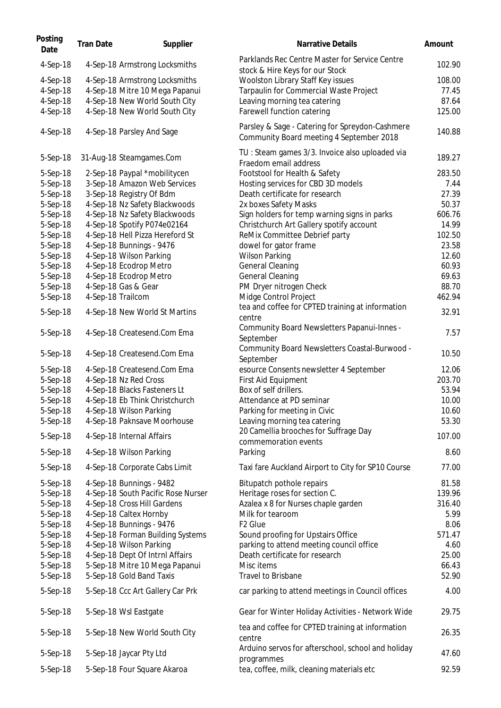| Posting<br>Date | <b>Tran Date</b> | Supplier                           | <b>Narrative Details</b>                                                                    | Amount |
|-----------------|------------------|------------------------------------|---------------------------------------------------------------------------------------------|--------|
| 4-Sep-18        |                  | 4-Sep-18 Armstrong Locksmiths      | Parklands Rec Centre Master for Service Centre<br>stock & Hire Keys for our Stock           | 102.90 |
| 4-Sep-18        |                  | 4-Sep-18 Armstrong Locksmiths      | Woolston Library Staff Key issues                                                           | 108.00 |
| $4-Sep-18$      |                  | 4-Sep-18 Mitre 10 Mega Papanui     | Tarpaulin for Commercial Waste Project                                                      | 77.45  |
| 4-Sep-18        |                  | 4-Sep-18 New World South City      | Leaving morning tea catering                                                                | 87.64  |
| 4-Sep-18        |                  | 4-Sep-18 New World South City      | Farewell function catering                                                                  | 125.00 |
| 4-Sep-18        |                  | 4-Sep-18 Parsley And Sage          | Parsley & Sage - Catering for Spreydon-Cashmere<br>Community Board meeting 4 September 2018 | 140.88 |
| 5-Sep-18        |                  | 31-Aug-18 Steamgames.Com           | TU: Steam games 3/3. Invoice also uploaded via<br>Fraedom email address                     | 189.27 |
| 5-Sep-18        |                  | 2-Sep-18 Paypal *mobilitycen       | Footstool for Health & Safety                                                               | 283.50 |
| 5-Sep-18        |                  | 3-Sep-18 Amazon Web Services       | Hosting services for CBD 3D models                                                          | 7.44   |
| 5-Sep-18        |                  | 3-Sep-18 Registry Of Bdm           | Death certificate for research                                                              | 27.39  |
| 5-Sep-18        |                  | 4-Sep-18 Nz Safety Blackwoods      | 2x boxes Safety Masks                                                                       | 50.37  |
| 5-Sep-18        |                  | 4-Sep-18 Nz Safety Blackwoods      | Sign holders for temp warning signs in parks                                                | 606.76 |
| 5-Sep-18        |                  | 4-Sep-18 Spotify P074e02164        | Christchurch Art Gallery spotify account                                                    | 14.99  |
| 5-Sep-18        |                  | 4-Sep-18 Hell Pizza Hereford St    | ReMix Committee Debrief party                                                               | 102.50 |
| 5-Sep-18        |                  | 4-Sep-18 Bunnings - 9476           | dowel for gator frame                                                                       | 23.58  |
| 5-Sep-18        |                  | 4-Sep-18 Wilson Parking            | <b>Wilson Parking</b>                                                                       | 12.60  |
| 5-Sep-18        |                  | 4-Sep-18 Ecodrop Metro             | <b>General Cleaning</b>                                                                     | 60.93  |
| 5-Sep-18        |                  | 4-Sep-18 Ecodrop Metro             | <b>General Cleaning</b>                                                                     | 69.63  |
| 5-Sep-18        |                  | 4-Sep-18 Gas & Gear                | PM Dryer nitrogen Check                                                                     | 88.70  |
| 5-Sep-18        |                  | 4-Sep-18 Trailcom                  | Midge Control Project                                                                       | 462.94 |
| 5-Sep-18        |                  | 4-Sep-18 New World St Martins      | tea and coffee for CPTED training at information<br>centre                                  | 32.91  |
| 5-Sep-18        |                  | 4-Sep-18 Createsend.Com Ema        | <b>Community Board Newsletters Papanui-Innes -</b><br>September                             | 7.57   |
| 5-Sep-18        |                  | 4-Sep-18 Createsend.Com Ema        | Community Board Newsletters Coastal-Burwood -<br>September                                  | 10.50  |
| 5-Sep-18        |                  | 4-Sep-18 Createsend.Com Ema        | esource Consents newsletter 4 September                                                     | 12.06  |
| 5-Sep-18        |                  | 4-Sep-18 Nz Red Cross              | First Aid Equipment                                                                         | 203.70 |
| 5-Sep-18        |                  | 4-Sep-18 Blacks Fasteners Lt       | Box of self drillers.                                                                       | 53.94  |
| 5-Sep-18        |                  | 4-Sep-18 Eb Think Christchurch     | Attendance at PD seminar                                                                    | 10.00  |
| 5-Sep-18        |                  | 4-Sep-18 Wilson Parking            | Parking for meeting in Civic                                                                | 10.60  |
| 5-Sep-18        |                  | 4-Sep-18 Paknsave Moorhouse        | Leaving morning tea catering                                                                | 53.30  |
| $5-Sep-18$      |                  | 4-Sep-18 Internal Affairs          | 20 Camellia brooches for Suffrage Day<br>commemoration events                               | 107.00 |
| 5-Sep-18        |                  | 4-Sep-18 Wilson Parking            | Parking                                                                                     | 8.60   |
| 5-Sep-18        |                  | 4-Sep-18 Corporate Cabs Limit      | Taxi fare Auckland Airport to City for SP10 Course                                          | 77.00  |
| 5-Sep-18        |                  | 4-Sep-18 Bunnings - 9482           | Bitupatch pothole repairs                                                                   | 81.58  |
| 5-Sep-18        |                  | 4-Sep-18 South Pacific Rose Nurser | Heritage roses for section C.                                                               | 139.96 |
| 5-Sep-18        |                  | 4-Sep-18 Cross Hill Gardens        | Azalea x 8 for Nurses chaple garden                                                         | 316.40 |
| 5-Sep-18        |                  | 4-Sep-18 Caltex Hornby             | Milk for tearoom                                                                            | 5.99   |
| 5-Sep-18        |                  | 4-Sep-18 Bunnings - 9476           | F <sub>2</sub> Glue                                                                         | 8.06   |
| 5-Sep-18        |                  | 4-Sep-18 Forman Building Systems   | Sound proofing for Upstairs Office                                                          | 571.47 |
| 5-Sep-18        |                  | 4-Sep-18 Wilson Parking            | parking to attend meeting council office                                                    | 4.60   |
| $5-Sep-18$      |                  | 4-Sep-18 Dept Of Intrnl Affairs    | Death certificate for research                                                              | 25.00  |
| $5-Sep-18$      |                  | 5-Sep-18 Mitre 10 Mega Papanui     | Misc items                                                                                  | 66.43  |
| 5-Sep-18        |                  | 5-Sep-18 Gold Band Taxis           | Travel to Brisbane                                                                          | 52.90  |
| 5-Sep-18        |                  | 5-Sep-18 Ccc Art Gallery Car Prk   | car parking to attend meetings in Council offices                                           | 4.00   |
| 5-Sep-18        |                  | 5-Sep-18 Wsl Eastgate              | Gear for Winter Holiday Activities - Network Wide                                           | 29.75  |
| 5-Sep-18        |                  | 5-Sep-18 New World South City      | tea and coffee for CPTED training at information<br>centre                                  | 26.35  |
| 5-Sep-18        |                  | 5-Sep-18 Jaycar Pty Ltd            | Arduino servos for afterschool, school and holiday<br>programmes                            | 47.60  |
| 5-Sep-18        |                  | 5-Sep-18 Four Square Akaroa        | tea, coffee, milk, cleaning materials etc                                                   | 92.59  |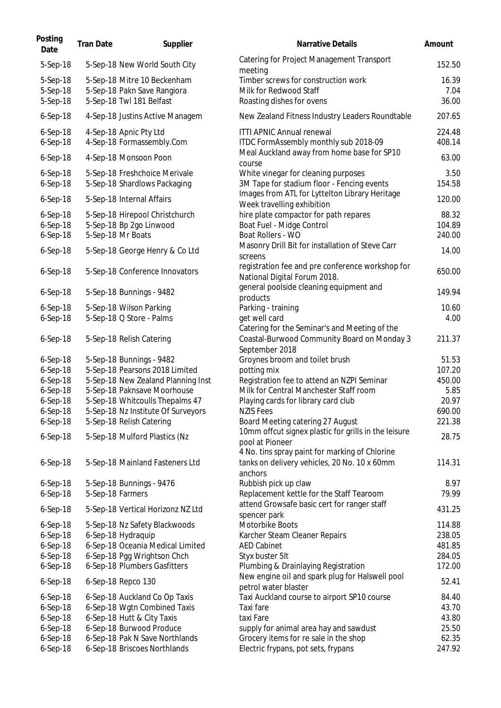| Posting<br>Date      | <b>Tran Date</b> | Supplier                                               | Narrative Details                                              | Amount |
|----------------------|------------------|--------------------------------------------------------|----------------------------------------------------------------|--------|
| 5-Sep-18             |                  | 5-Sep-18 New World South City                          | Catering for Project Management Transport<br>meeting           | 152.50 |
| 5-Sep-18             |                  | 5-Sep-18 Mitre 10 Beckenham                            | Timber screws for construction work                            | 16.39  |
| 5-Sep-18             |                  | 5-Sep-18 Pakn Save Rangiora                            | Milk for Redwood Staff                                         | 7.04   |
| 5-Sep-18             |                  | 5-Sep-18 Twl 181 Belfast                               | Roasting dishes for ovens                                      | 36.00  |
| $6-Sep-18$           |                  | 4-Sep-18 Justins Active Managem                        | New Zealand Fitness Industry Leaders Roundtable                | 207.65 |
| $6-Sep-18$           |                  | 4-Sep-18 Apnic Pty Ltd                                 | <b>ITTI APNIC Annual renewal</b>                               | 224.48 |
| $6-Sep-18$           |                  | 4-Sep-18 Formassembly.Com                              | ITDC FormAssembly monthly sub 2018-09                          | 408.14 |
|                      |                  |                                                        | Meal Auckland away from home base for SP10                     |        |
| $6-Sep-18$           |                  | 4-Sep-18 Monsoon Poon                                  | course                                                         | 63.00  |
| $6-Sep-18$           |                  | 5-Sep-18 Freshchoice Merivale                          | White vinegar for cleaning purposes                            | 3.50   |
| $6-Sep-18$           |                  | 5-Sep-18 Shardlows Packaging                           | 3M Tape for stadium floor - Fencing events                     | 154.58 |
| $6-Sep-18$           |                  | 5-Sep-18 Internal Affairs                              | Images from ATL for Lyttelton Library Heritage                 | 120.00 |
|                      |                  |                                                        | Week travelling exhibition                                     |        |
| $6-Sep-18$           |                  | 5-Sep-18 Hirepool Christchurch                         | hire plate compactor for path repares                          | 88.32  |
| $6-Sep-18$           |                  | 5-Sep-18 Bp 2go Linwood                                | Boat Fuel - Midge Control                                      | 104.89 |
| $6-Sep-18$           |                  | 5-Sep-18 Mr Boats                                      | Boat Rollers - WO                                              | 240.00 |
| $6-Sep-18$           |                  | 5-Sep-18 George Henry & Co Ltd                         | Masonry Drill Bit for installation of Steve Carr               | 14.00  |
|                      |                  |                                                        | screens                                                        |        |
| $6-Sep-18$           |                  | 5-Sep-18 Conference Innovators                         | registration fee and pre conference workshop for               | 650.00 |
|                      |                  |                                                        | National Digital Forum 2018.                                   |        |
| $6-Sep-18$           |                  | 5-Sep-18 Bunnings - 9482                               | general poolside cleaning equipment and                        | 149.94 |
|                      |                  |                                                        | products                                                       |        |
| $6-Sep-18$           |                  | 5-Sep-18 Wilson Parking                                | Parking - training                                             | 10.60  |
| 6-Sep-18             |                  | 5-Sep-18 Q Store - Palms                               | get well card<br>Catering for the Seminar's and Meeting of the | 4.00   |
| $6-Sep-18$           |                  | 5-Sep-18 Relish Catering                               | Coastal-Burwood Community Board on Monday 3                    | 211.37 |
|                      |                  |                                                        | September 2018                                                 |        |
| $6-Sep-18$           |                  | 5-Sep-18 Bunnings - 9482                               | Groynes broom and toilet brush                                 | 51.53  |
| $6-Sep-18$           |                  | 5-Sep-18 Pearsons 2018 Limited                         | potting mix                                                    | 107.20 |
| $6-Sep-18$           |                  | 5-Sep-18 New Zealand Planning Inst                     | Registration fee to attend an NZPI Seminar                     | 450.00 |
| $6-Sep-18$           |                  | 5-Sep-18 Paknsave Moorhouse                            | Milk for Central Manchester Staff room                         | 5.85   |
| $6-Sep-18$           |                  | 5-Sep-18 Whitcoulls Thepalms 47                        | Playing cards for library card club                            | 20.97  |
| $6-Sep-18$           |                  | 5-Sep-18 Nz Institute Of Surveyors                     | NZIS Fees                                                      | 690.00 |
| 6-Sep-18             |                  | 5-Sep-18 Relish Catering                               | Board Meeting catering 27 August                               | 221.38 |
|                      |                  |                                                        | 10mm offcut signex plastic for grills in the leisure           |        |
| $6-Sep-18$           |                  | 5-Sep-18 Mulford Plastics (Nz                          | pool at Pioneer                                                | 28.75  |
|                      |                  |                                                        | 4 No. tins spray paint for marking of Chlorine                 |        |
| $6-Sep-18$           |                  | 5-Sep-18 Mainland Fasteners Ltd                        | tanks on delivery vehicles, 20 No. 10 x 60mm                   | 114.31 |
|                      |                  |                                                        | anchors                                                        |        |
| $6-Sep-18$           |                  | 5-Sep-18 Bunnings - 9476                               | Rubbish pick up claw                                           | 8.97   |
| $6-Sep-18$           | 5-Sep-18 Farmers |                                                        | Replacement kettle for the Staff Tearoom                       | 79.99  |
| $6-Sep-18$           |                  | 5-Sep-18 Vertical Horizonz NZ Ltd                      | attend Growsafe basic cert for ranger staff                    | 431.25 |
|                      |                  |                                                        | spencer park<br>Motorbike Boots                                | 114.88 |
| $6-Sep-18$           |                  | 5-Sep-18 Nz Safety Blackwoods                          |                                                                | 238.05 |
| 6-Sep-18<br>6-Sep-18 |                  | 6-Sep-18 Hydraquip<br>6-Sep-18 Oceania Medical Limited | Karcher Steam Cleaner Repairs<br><b>AED Cabinet</b>            | 481.85 |
| $6-Sep-18$           |                  | 6-Sep-18 Pgg Wrightson Chch                            | Styx buster 5It                                                | 284.05 |
| 6-Sep-18             |                  | 6-Sep-18 Plumbers Gasfitters                           | Plumbing & Drainlaying Registration                            | 172.00 |
|                      |                  |                                                        | New engine oil and spark plug for Halswell pool                |        |
| $6-Sep-18$           |                  | 6-Sep-18 Repco 130                                     | petrol water blaster                                           | 52.41  |
| $6-Sep-18$           |                  | 6-Sep-18 Auckland Co Op Taxis                          | Taxi Auckland course to airport SP10 course                    | 84.40  |
| 6-Sep-18             |                  | 6-Sep-18 Wgtn Combined Taxis                           | Taxi fare                                                      | 43.70  |
| $6-Sep-18$           |                  | 6-Sep-18 Hutt & City Taxis                             | taxi Fare                                                      | 43.80  |
| $6-Sep-18$           |                  | 6-Sep-18 Burwood Produce                               | supply for animal area hay and sawdust                         | 25.50  |
| $6-Sep-18$           |                  | 6-Sep-18 Pak N Save Northlands                         | Grocery items for re sale in the shop                          | 62.35  |
| $6-Sep-18$           |                  | 6-Sep-18 Briscoes Northlands                           | Electric frypans, pot sets, frypans                            | 247.92 |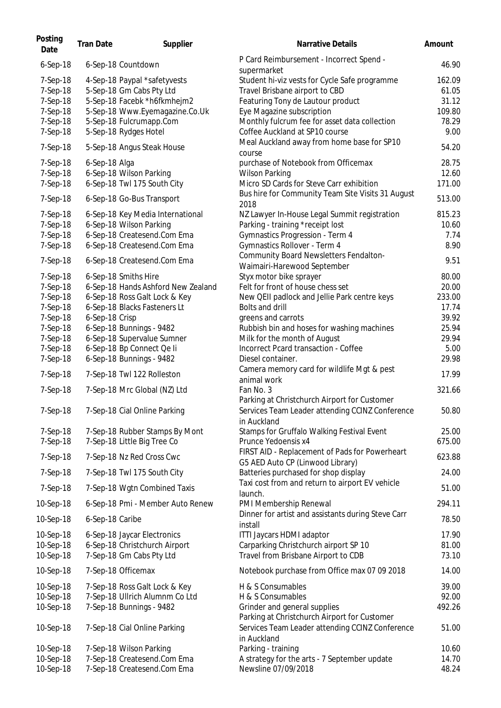| Posting<br>Date | <b>Tran Date</b> | Supplier                           | <b>Narrative Details</b>                                                                | Amount |
|-----------------|------------------|------------------------------------|-----------------------------------------------------------------------------------------|--------|
| $6-Sep-18$      |                  | 6-Sep-18 Countdown                 | P Card Reimbursement - Incorrect Spend -<br>supermarket                                 | 46.90  |
| 7-Sep-18        |                  | 4-Sep-18 Paypal *safetyvests       | Student hi-viz vests for Cycle Safe programme                                           | 162.09 |
| 7-Sep-18        |                  | 5-Sep-18 Gm Cabs Pty Ltd           | Travel Brisbane airport to CBD                                                          | 61.05  |
| 7-Sep-18        |                  | 5-Sep-18 Facebk *h6fkmhejm2        | Featuring Tony de Lautour product                                                       | 31.12  |
| 7-Sep-18        |                  | 5-Sep-18 Www.Eyemagazine.Co.Uk     | Eye Magazine subscription                                                               | 109.80 |
| 7-Sep-18        |                  | 5-Sep-18 Fulcrumapp.Com            | Monthly fulcrum fee for asset data collection                                           | 78.29  |
|                 |                  | 5-Sep-18 Rydges Hotel              | Coffee Auckland at SP10 course                                                          | 9.00   |
| 7-Sep-18        |                  |                                    |                                                                                         |        |
| 7-Sep-18        |                  | 5-Sep-18 Angus Steak House         | Meal Auckland away from home base for SP10<br>course                                    | 54.20  |
| 7-Sep-18        | 6-Sep-18 Alga    |                                    | purchase of Notebook from Officemax                                                     | 28.75  |
| 7-Sep-18        |                  | 6-Sep-18 Wilson Parking            | <b>Wilson Parking</b>                                                                   | 12.60  |
| 7-Sep-18        |                  | 6-Sep-18 Twl 175 South City        | Micro SD Cards for Steve Carr exhibition                                                | 171.00 |
| 7-Sep-18        |                  | 6-Sep-18 Go-Bus Transport          | Bus hire for Community Team Site Visits 31 August<br>2018                               | 513.00 |
| 7-Sep-18        |                  | 6-Sep-18 Key Media International   | NZ Lawyer In-House Legal Summit registration                                            | 815.23 |
| 7-Sep-18        |                  | 6-Sep-18 Wilson Parking            | Parking - training *receipt lost                                                        | 10.60  |
| 7-Sep-18        |                  | 6-Sep-18 Createsend.Com Ema        | Gymnastics Progression - Term 4                                                         | 7.74   |
| 7-Sep-18        |                  | 6-Sep-18 Createsend.Com Ema        | Gymnastics Rollover - Term 4                                                            | 8.90   |
|                 |                  |                                    | Community Board Newsletters Fendalton-                                                  |        |
| 7-Sep-18        |                  | 6-Sep-18 Createsend.Com Ema        | Waimairi-Harewood September                                                             | 9.51   |
| 7-Sep-18        |                  | 6-Sep-18 Smiths Hire               | Styx motor bike sprayer                                                                 | 80.00  |
| 7-Sep-18        |                  | 6-Sep-18 Hands Ashford New Zealand | Felt for front of house chess set                                                       | 20.00  |
| 7-Sep-18        |                  | 6-Sep-18 Ross Galt Lock & Key      |                                                                                         | 233.00 |
|                 |                  |                                    | New QEII padlock and Jellie Park centre keys                                            |        |
| 7-Sep-18        |                  | 6-Sep-18 Blacks Fasteners Lt       | Bolts and drill                                                                         | 17.74  |
| 7-Sep-18        | 6-Sep-18 Crisp   |                                    | greens and carrots                                                                      | 39.92  |
| 7-Sep-18        |                  | 6-Sep-18 Bunnings - 9482           | Rubbish bin and hoses for washing machines                                              | 25.94  |
| 7-Sep-18        |                  | 6-Sep-18 Supervalue Sumner         | Milk for the month of August                                                            | 29.94  |
| 7-Sep-18        |                  | 6-Sep-18 Bp Connect Qe li          | Incorrect Pcard transaction - Coffee                                                    | 5.00   |
| 7-Sep-18        |                  | 6-Sep-18 Bunnings - 9482           | Diesel container.                                                                       | 29.98  |
| 7-Sep-18        |                  | 7-Sep-18 Twl 122 Rolleston         | Camera memory card for wildlife Mgt & pest<br>animal work                               | 17.99  |
| 7-Sep-18        |                  | 7-Sep-18 Mrc Global (NZ) Ltd       | Fan No. 3<br>Parking at Christchurch Airport for Customer                               | 321.66 |
|                 |                  |                                    |                                                                                         |        |
| 7-Sep-18        |                  | 7-Sep-18 Cial Online Parking       | Services Team Leader attending CCINZ Conference<br>in Auckland                          | 50.80  |
| 7-Sep-18        |                  | 7-Sep-18 Rubber Stamps By Mont     | Stamps for Gruffalo Walking Festival Event                                              | 25.00  |
| 7-Sep-18        |                  | 7-Sep-18 Little Big Tree Co        | Prunce Yedoensis x4                                                                     | 675.00 |
|                 |                  |                                    | FIRST AID - Replacement of Pads for Powerheart                                          |        |
| 7-Sep-18        |                  | 7-Sep-18 Nz Red Cross Cwc          | G5 AED Auto CP (Linwood Library)                                                        | 623.88 |
| 7-Sep-18        |                  | 7-Sep-18 Twl 175 South City        | Batteries purchased for shop display<br>Taxi cost from and return to airport EV vehicle | 24.00  |
| 7-Sep-18        |                  | 7-Sep-18 Wgtn Combined Taxis       | launch.                                                                                 | 51.00  |
| 10-Sep-18       |                  | 6-Sep-18 Pmi - Member Auto Renew   | PMI Membership Renewal<br>Dinner for artist and assistants during Steve Carr            | 294.11 |
| 10-Sep-18       | 6-Sep-18 Caribe  |                                    | install                                                                                 | 78.50  |
| 10-Sep-18       |                  | 6-Sep-18 Jaycar Electronics        | ITTI Jaycars HDMI adaptor                                                               | 17.90  |
| 10-Sep-18       |                  | 6-Sep-18 Christchurch Airport      | Carparking Christchurch airport SP 10                                                   | 81.00  |
| 10-Sep-18       |                  | 7-Sep-18 Gm Cabs Pty Ltd           | Travel from Brisbane Airport to CDB                                                     | 73.10  |
| 10-Sep-18       |                  | 7-Sep-18 Officemax                 | Notebook purchase from Office max 07 09 2018                                            | 14.00  |
| 10-Sep-18       |                  | 7-Sep-18 Ross Galt Lock & Key      | H & S Consumables                                                                       | 39.00  |
| 10-Sep-18       |                  | 7-Sep-18 Ullrich Alumnm Co Ltd     | H & S Consumables                                                                       | 92.00  |
|                 |                  |                                    |                                                                                         |        |
| 10-Sep-18       |                  | 7-Sep-18 Bunnings - 9482           | Grinder and general supplies<br>Parking at Christchurch Airport for Customer            | 492.26 |
| 10-Sep-18       |                  | 7-Sep-18 Cial Online Parking       | Services Team Leader attending CCINZ Conference<br>in Auckland                          | 51.00  |
| 10-Sep-18       |                  | 7-Sep-18 Wilson Parking            | Parking - training                                                                      | 10.60  |
| 10-Sep-18       |                  | 7-Sep-18 Createsend.Com Ema        | A strategy for the arts - 7 September update                                            | 14.70  |
| 10-Sep-18       |                  | 7-Sep-18 Createsend.Com Ema        | Newsline 07/09/2018                                                                     | 48.24  |
|                 |                  |                                    |                                                                                         |        |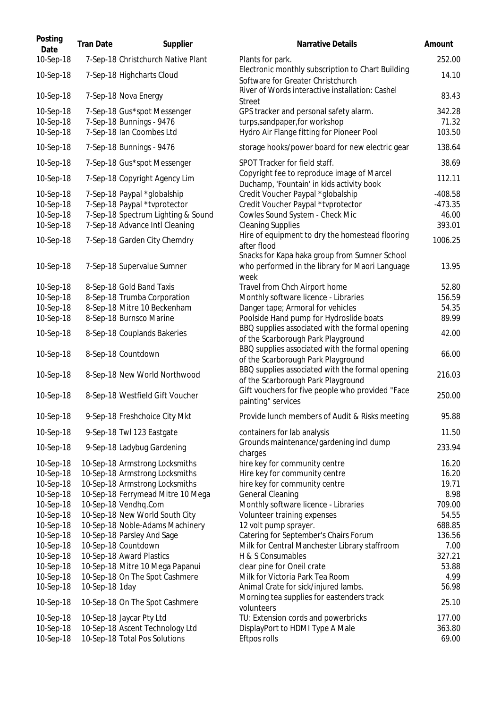| Posting<br>Date        | <b>Tran Date</b> | Supplier                                                    | <b>Narrative Details</b>                                                                                 | Amount           |
|------------------------|------------------|-------------------------------------------------------------|----------------------------------------------------------------------------------------------------------|------------------|
| 10-Sep-18              |                  | 7-Sep-18 Christchurch Native Plant                          | Plants for park.                                                                                         | 252.00           |
| 10-Sep-18              |                  | 7-Sep-18 Highcharts Cloud                                   | Electronic monthly subscription to Chart Building<br>Software for Greater Christchurch                   | 14.10            |
| 10-Sep-18              |                  | 7-Sep-18 Nova Energy                                        | River of Words interactive installation: Cashel<br><b>Street</b>                                         | 83.43            |
| 10-Sep-18              |                  | 7-Sep-18 Gus*spot Messenger                                 | GPS tracker and personal safety alarm.                                                                   | 342.28           |
| 10-Sep-18<br>10-Sep-18 |                  | 7-Sep-18 Bunnings - 9476<br>7-Sep-18 Ian Coombes Ltd        | turps, sandpaper, for workshop<br>Hydro Air Flange fitting for Pioneer Pool                              | 71.32<br>103.50  |
| 10-Sep-18              |                  | 7-Sep-18 Bunnings - 9476                                    | storage hooks/power board for new electric gear                                                          | 138.64           |
| 10-Sep-18              |                  | 7-Sep-18 Gus*spot Messenger                                 | SPOT Tracker for field staff.                                                                            | 38.69            |
| 10-Sep-18              |                  | 7-Sep-18 Copyright Agency Lim                               | Copyright fee to reproduce image of Marcel<br>Duchamp, 'Fountain' in kids activity book                  | 112.11           |
| 10-Sep-18              |                  | 7-Sep-18 Paypal *globalship                                 | Credit Voucher Paypal *globalship                                                                        | $-408.58$        |
| 10-Sep-18              |                  | 7-Sep-18 Paypal *tvprotector                                | Credit Voucher Paypal *tvprotector                                                                       | $-473.35$        |
| 10-Sep-18              |                  | 7-Sep-18 Spectrum Lighting & Sound                          | Cowles Sound System - Check Mic                                                                          | 46.00            |
| 10-Sep-18              |                  | 7-Sep-18 Advance Intl Cleaning                              | <b>Cleaning Supplies</b>                                                                                 | 393.01           |
| 10-Sep-18              |                  | 7-Sep-18 Garden City Chemdry                                | Hire of equipment to dry the homestead flooring<br>after flood                                           | 1006.25          |
| 10-Sep-18              |                  | 7-Sep-18 Supervalue Sumner                                  | Snacks for Kapa haka group from Sumner School<br>who performed in the library for Maori Language<br>week | 13.95            |
| 10-Sep-18              |                  | 8-Sep-18 Gold Band Taxis                                    | Travel from Chch Airport home                                                                            | 52.80            |
| 10-Sep-18              |                  | 8-Sep-18 Trumba Corporation                                 | Monthly software licence - Libraries                                                                     | 156.59           |
| 10-Sep-18              |                  | 8-Sep-18 Mitre 10 Beckenham                                 | Danger tape; Armoral for vehicles                                                                        | 54.35            |
| 10-Sep-18              |                  | 8-Sep-18 Burnsco Marine                                     | Poolside Hand pump for Hydroslide boats                                                                  | 89.99            |
| 10-Sep-18              |                  | 8-Sep-18 Couplands Bakeries                                 | BBQ supplies associated with the formal opening<br>of the Scarborough Park Playground                    | 42.00            |
| 10-Sep-18              |                  | 8-Sep-18 Countdown                                          | BBQ supplies associated with the formal opening<br>of the Scarborough Park Playground                    | 66.00            |
| 10-Sep-18              |                  | 8-Sep-18 New World Northwood                                | BBQ supplies associated with the formal opening<br>of the Scarborough Park Playground                    | 216.03           |
| 10-Sep-18              |                  | 8-Sep-18 Westfield Gift Voucher                             | Gift vouchers for five people who provided "Face<br>painting" services                                   | 250.00           |
| 10-Sep-18              |                  | 9-Sep-18 Freshchoice City Mkt                               | Provide lunch members of Audit & Risks meeting                                                           | 95.88            |
| 10-Sep-18              |                  | 9-Sep-18 Twl 123 Eastgate                                   | containers for lab analysis                                                                              | 11.50            |
| 10-Sep-18              |                  | 9-Sep-18 Ladybug Gardening                                  | Grounds maintenance/gardening incl dump<br>charges                                                       | 233.94           |
| 10-Sep-18              |                  | 10-Sep-18 Armstrong Locksmiths                              | hire key for community centre                                                                            | 16.20            |
| 10-Sep-18              |                  | 10-Sep-18 Armstrong Locksmiths                              | Hire key for community centre                                                                            | 16.20            |
| 10-Sep-18              |                  | 10-Sep-18 Armstrong Locksmiths                              | hire key for community centre                                                                            | 19.71            |
| 10-Sep-18              |                  | 10-Sep-18 Ferrymead Mitre 10 Mega                           | <b>General Cleaning</b>                                                                                  | 8.98             |
| 10-Sep-18              |                  | 10-Sep-18 Vendhq.Com                                        | Monthly software licence - Libraries                                                                     | 709.00           |
| 10-Sep-18              |                  | 10-Sep-18 New World South City                              | Volunteer training expenses                                                                              | 54.55            |
| 10-Sep-18              |                  | 10-Sep-18 Noble-Adams Machinery                             | 12 volt pump sprayer.                                                                                    | 688.85           |
| 10-Sep-18              |                  | 10-Sep-18 Parsley And Sage                                  | Catering for September's Chairs Forum                                                                    | 136.56           |
| 10-Sep-18              |                  | 10-Sep-18 Countdown                                         | Milk for Central Manchester Library staffroom                                                            | 7.00             |
| 10-Sep-18<br>10-Sep-18 |                  | 10-Sep-18 Award Plastics<br>10-Sep-18 Mitre 10 Mega Papanui | H & S Consumables<br>clear pine for Oneil crate                                                          | 327.21<br>53.88  |
| 10-Sep-18              |                  | 10-Sep-18 On The Spot Cashmere                              | Milk for Victoria Park Tea Room                                                                          | 4.99             |
| 10-Sep-18              | 10-Sep-18 1day   |                                                             | Animal Crate for sick/injured lambs.                                                                     | 56.98            |
|                        |                  |                                                             | Morning tea supplies for eastenders track                                                                |                  |
| 10-Sep-18              |                  | 10-Sep-18 On The Spot Cashmere                              | volunteers                                                                                               | 25.10            |
| 10-Sep-18<br>10-Sep-18 |                  | 10-Sep-18 Jaycar Pty Ltd<br>10-Sep-18 Ascent Technology Ltd | TU: Extension cords and powerbricks<br>DisplayPort to HDMI Type A Male                                   | 177.00<br>363.80 |
| 10-Sep-18              |                  | 10-Sep-18 Total Pos Solutions                               | Eftpos rolls                                                                                             | 69.00            |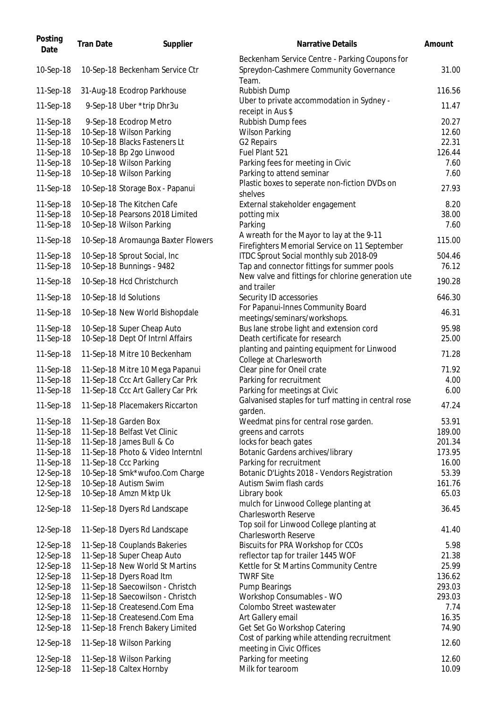| Posting<br>Date        | <b>Tran Date</b> | Supplier                                            | <b>Narrative Details</b>                                                                          | Amount         |
|------------------------|------------------|-----------------------------------------------------|---------------------------------------------------------------------------------------------------|----------------|
| 10-Sep-18              |                  | 10-Sep-18 Beckenham Service Ctr                     | Beckenham Service Centre - Parking Coupons for<br>Spreydon-Cashmere Community Governance<br>Team. | 31.00          |
| 11-Sep-18              |                  | 31-Aug-18 Ecodrop Parkhouse                         | Rubbish Dump                                                                                      | 116.56         |
| 11-Sep-18              |                  | 9-Sep-18 Uber *trip Dhr3u                           | Uber to private accommodation in Sydney -<br>receipt in Aus \$                                    | 11.47          |
| 11-Sep-18              |                  | 9-Sep-18 Ecodrop Metro                              | Rubbish Dump fees                                                                                 | 20.27          |
| 11-Sep-18              |                  | 10-Sep-18 Wilson Parking                            | <b>Wilson Parking</b>                                                                             | 12.60          |
| 11-Sep-18              |                  | 10-Sep-18 Blacks Fasteners Lt                       | <b>G2 Repairs</b>                                                                                 | 22.31          |
| 11-Sep-18              |                  | 10-Sep-18 Bp 2go Linwood                            | Fuel Plant 521                                                                                    | 126.44         |
| 11-Sep-18              |                  | 10-Sep-18 Wilson Parking                            | Parking fees for meeting in Civic                                                                 | 7.60           |
| 11-Sep-18              |                  | 10-Sep-18 Wilson Parking                            | Parking to attend seminar                                                                         | 7.60           |
| 11-Sep-18              |                  | 10-Sep-18 Storage Box - Papanui                     | Plastic boxes to seperate non-fiction DVDs on<br>shelves                                          | 27.93          |
| 11-Sep-18              |                  | 10-Sep-18 The Kitchen Cafe                          | External stakeholder engagement                                                                   | 8.20           |
| 11-Sep-18              |                  | 10-Sep-18 Pearsons 2018 Limited                     | potting mix                                                                                       | 38.00          |
| 11-Sep-18              |                  | 10-Sep-18 Wilson Parking                            | Parking                                                                                           | 7.60           |
| 11-Sep-18              |                  | 10-Sep-18 Aromaunga Baxter Flowers                  | A wreath for the Mayor to lay at the 9-11                                                         | 115.00         |
|                        |                  |                                                     | Firefighters Memorial Service on 11 September                                                     |                |
| 11-Sep-18              |                  | 10-Sep-18 Sprout Social, Inc.                       | ITDC Sprout Social monthly sub 2018-09                                                            | 504.46         |
| 11-Sep-18              |                  | 10-Sep-18 Bunnings - 9482                           | Tap and connector fittings for summer pools                                                       | 76.12          |
| 11-Sep-18              |                  | 10-Sep-18 Hcd Christchurch                          | New valve and fittings for chlorine generation ute<br>and trailer                                 | 190.28         |
| 11-Sep-18              |                  | 10-Sep-18 Id Solutions                              | Security ID accessories                                                                           | 646.30         |
| 11-Sep-18              |                  | 10-Sep-18 New World Bishopdale                      | For Papanui-Innes Community Board<br>meetings/seminars/workshops.                                 | 46.31          |
| 11-Sep-18              |                  | 10-Sep-18 Super Cheap Auto                          | Bus lane strobe light and extension cord                                                          | 95.98          |
| 11-Sep-18              |                  | 10-Sep-18 Dept Of Intrnl Affairs                    | Death certificate for research                                                                    | 25.00          |
| 11-Sep-18              |                  | 11-Sep-18 Mitre 10 Beckenham                        | planting and painting equipment for Linwood<br>College at Charlesworth                            | 71.28          |
| 11-Sep-18              |                  | 11-Sep-18 Mitre 10 Mega Papanui                     | Clear pine for Oneil crate                                                                        | 71.92          |
| 11-Sep-18              |                  | 11-Sep-18 Ccc Art Gallery Car Prk                   | Parking for recruitment                                                                           | 4.00           |
| 11-Sep-18              |                  | 11-Sep-18 Ccc Art Gallery Car Prk                   | Parking for meetings at Civic                                                                     | 6.00           |
| 11-Sep-18              |                  | 11-Sep-18 Placemakers Riccarton                     | Galvanised staples for turf matting in central rose<br>garden.                                    | 47.24          |
| 11-Sep-18              |                  | 11-Sep-18 Garden Box                                | Weedmat pins for central rose garden.                                                             | 53.91          |
| 11-Sep-18              |                  | 11-Sep-18 Belfast Vet Clinic                        | greens and carrots                                                                                | 189.00         |
| 11-Sep-18              |                  | 11-Sep-18 James Bull & Co                           | locks for beach gates                                                                             | 201.34         |
| 11-Sep-18              |                  | 11-Sep-18 Photo & Video Interntnl                   | Botanic Gardens archives/library                                                                  | 173.95         |
| 11-Sep-18              |                  | 11-Sep-18 Ccc Parking                               | Parking for recruitment                                                                           | 16.00          |
| 12-Sep-18              |                  | 10-Sep-18 Smk*wufoo.Com Charge                      | Botanic D'Lights 2018 - Vendors Registration                                                      | 53.39          |
| 12-Sep-18              |                  | 10-Sep-18 Autism Swim                               | Autism Swim flash cards                                                                           | 161.76         |
| 12-Sep-18              |                  | 10-Sep-18 Amzn Mktp Uk                              | Library book                                                                                      | 65.03          |
| 12-Sep-18              |                  | 11-Sep-18 Dyers Rd Landscape                        | mulch for Linwood College planting at<br><b>Charlesworth Reserve</b>                              | 36.45          |
| 12-Sep-18              |                  | 11-Sep-18 Dyers Rd Landscape                        | Top soil for Linwood College planting at<br>Charlesworth Reserve                                  | 41.40          |
| 12-Sep-18              |                  | 11-Sep-18 Couplands Bakeries                        | Biscuits for PRA Workshop for CCOs                                                                | 5.98           |
| 12-Sep-18              |                  | 11-Sep-18 Super Cheap Auto                          | reflector tap for trailer 1445 WOF                                                                | 21.38          |
| 12-Sep-18              |                  | 11-Sep-18 New World St Martins                      | Kettle for St Martins Community Centre                                                            | 25.99          |
| 12-Sep-18              |                  | 11-Sep-18 Dyers Road Itm                            | <b>TWRF Site</b>                                                                                  | 136.62         |
| 12-Sep-18              |                  | 11-Sep-18 Saecowilson - Christch                    | <b>Pump Bearings</b>                                                                              | 293.03         |
| 12-Sep-18              |                  | 11-Sep-18 Saecowilson - Christch                    | Workshop Consumables - WO                                                                         | 293.03         |
| 12-Sep-18              |                  | 11-Sep-18 Createsend.Com Ema                        | Colombo Street wastewater                                                                         | 7.74           |
| 12-Sep-18              |                  | 11-Sep-18 Createsend.Com Ema                        | Art Gallery email                                                                                 | 16.35          |
| 12-Sep-18              |                  | 11-Sep-18 French Bakery Limited                     | Get Set Go Workshop Catering<br>Cost of parking while attending recruitment                       | 74.90<br>12.60 |
| 12-Sep-18              |                  | 11-Sep-18 Wilson Parking                            | meeting in Civic Offices                                                                          |                |
| 12-Sep-18<br>12-Sep-18 |                  | 11-Sep-18 Wilson Parking<br>11-Sep-18 Caltex Hornby | Parking for meeting<br>Milk for tearoom                                                           | 12.60<br>10.09 |
|                        |                  |                                                     |                                                                                                   |                |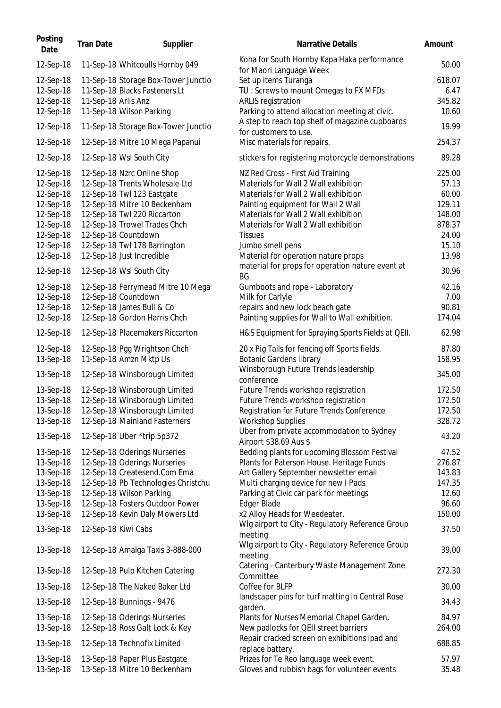| Posting<br>Date        | <b>Tran Date</b>    | Supplier                                                      | <b>Narrative Details</b>                                                               | Amount         |
|------------------------|---------------------|---------------------------------------------------------------|----------------------------------------------------------------------------------------|----------------|
| 12-Sep-18              |                     | 11-Sep-18 Whitcoulls Hornby 049                               | Koha for South Hornby Kapa Haka performance<br>for Maori Language Week                 | 50.00          |
| 12-Sep-18              |                     | 11-Sep-18 Storage Box-Tower Junctio                           | Set up items Turanga                                                                   | 618.07         |
| 12-Sep-18              |                     | 11-Sep-18 Blacks Fasteners Lt                                 | TU: Screws to mount Omegas to FX MFDs                                                  | 6.47           |
| 12-Sep-18              | 11-Sep-18 Arlis Anz |                                                               | <b>ARLIS</b> registration                                                              | 345.82         |
| 12-Sep-18              |                     | 11-Sep-18 Wilson Parking                                      | Parking to attend allocation meeting at civic.                                         | 10.60          |
| 12-Sep-18              |                     | 11-Sep-18 Storage Box-Tower Junctio                           | A step to reach top shelf of magazine cupboards<br>for customers to use.               | 19.99          |
| 12-Sep-18              |                     | 12-Sep-18 Mitre 10 Mega Papanui                               | Misc materials for repairs.                                                            | 254.37         |
| 12-Sep-18              |                     | 12-Sep-18 Wsl South City                                      | stickers for registering motorcycle demonstrations                                     | 89.28          |
| 12-Sep-18              |                     | 12-Sep-18 Nzrc Online Shop                                    | NZ Red Cross - First Aid Training                                                      | 225.00         |
| 12-Sep-18              |                     | 12-Sep-18 Trents Wholesale Ltd                                | Materials for Wall 2 Wall exhibition                                                   | 57.13          |
| 12-Sep-18              |                     | 12-Sep-18 Twl 123 Eastgate                                    | Materials for Wall 2 Wall exhibition                                                   | 60.00          |
| 12-Sep-18              |                     | 12-Sep-18 Mitre 10 Beckenham                                  | Painting equipment for Wall 2 Wall                                                     | 129.11         |
| 12-Sep-18              |                     | 12-Sep-18 Twl 220 Riccarton                                   | Materials for Wall 2 Wall exhibition                                                   | 148.00         |
| 12-Sep-18              |                     | 12-Sep-18 Trowel Trades Chch                                  | Materials for Wall 2 Wall exhibition                                                   | 878.37         |
| 12-Sep-18              |                     | 12-Sep-18 Countdown                                           | <b>Tissues</b>                                                                         | 24.00          |
| 12-Sep-18              |                     | 12-Sep-18 Twl 178 Barrington                                  | Jumbo smell pens                                                                       | 15.10          |
| 12-Sep-18              |                     | 12-Sep-18 Just Incredible                                     | Material for operation nature props                                                    | 13.98          |
| 12-Sep-18              |                     | 12-Sep-18 Wsl South City                                      | material for props for operation nature event at<br><b>BG</b>                          | 30.96          |
| 12-Sep-18              |                     | 12-Sep-18 Ferrymead Mitre 10 Mega                             | Gumboots and rope - Laboratory                                                         | 42.16          |
| 12-Sep-18              |                     | 12-Sep-18 Countdown                                           | Milk for Carlyle                                                                       | 7.00           |
| 12-Sep-18              |                     | 12-Sep-18 James Bull & Co                                     | repairs and new lock beach gate                                                        | 90.81          |
| 12-Sep-18              |                     | 12-Sep-18 Gordon Harris Chch                                  | Painting supplies for Wall to Wall exhibition.                                         | 174.04         |
| 12-Sep-18              |                     | 12-Sep-18 Placemakers Riccarton                               | H&S Equipment for Spraying Sports Fields at QEII.                                      | 62.98          |
| 12-Sep-18              |                     | 12-Sep-18 Pgg Wrightson Chch                                  | 20 x Pig Tails for fencing off Sports fields.                                          | 87.80          |
| 13-Sep-18              |                     | 11-Sep-18 Amzn Mktp Us                                        | <b>Botanic Gardens library</b>                                                         | 158.95         |
| 13-Sep-18              |                     | 12-Sep-18 Winsborough Limited                                 | Winsborough Future Trends leadership<br>conference                                     | 345.00         |
| 13-Sep-18              |                     | 12-Sep-18 Winsborough Limited                                 | Future Trends workshop registration                                                    | 172.50         |
| 13-Sep-18              |                     | 12-Sep-18 Winsborough Limited                                 | Future Trends workshop registration                                                    | 172.50         |
| 13-Sep-18              |                     | 12-Sep-18 Winsborough Limited                                 | Registration for Future Trends Conference                                              | 172.50         |
| 13-Sep-18              |                     | 12-Sep-18 Mainland Fasterners                                 | <b>Workshop Supplies</b>                                                               | 328.72         |
| 13-Sep-18              |                     | 12-Sep-18 Uber *trip 5p372                                    | Uber from private accommodation to Sydney<br>Airport \$38.69 Aus \$                    | 43.20          |
| 13-Sep-18              |                     | 12-Sep-18 Oderings Nurseries                                  | Bedding plants for upcoming Blossom Festival                                           | 47.52          |
| 13-Sep-18              |                     | 12-Sep-18 Oderings Nurseries                                  | Plants for Paterson House. Heritage Funds                                              | 276.87         |
| 13-Sep-18              |                     | 12-Sep-18 Createsend.Com Ema                                  | Art Gallery September newsletter email                                                 | 143.83         |
| 13-Sep-18              |                     | 12-Sep-18 Pb Technologies Christchu                           | Multi charging device for new I Pads                                                   | 147.35         |
| 13-Sep-18              |                     | 12-Sep-18 Wilson Parking                                      | Parking at Civic car park for meetings                                                 | 12.60          |
| 13-Sep-18              |                     | 12-Sep-18 Fosters Outdoor Power                               | Edger Blade                                                                            | 96.60          |
| 13-Sep-18              |                     | 12-Sep-18 Kevin Daly Mowers Ltd                               | x2 Alloy Heads for Weedeater.                                                          | 150.00         |
| 13-Sep-18              |                     | 12-Sep-18 Kiwi Cabs                                           | Wlg airport to City - Regulatory Reference Group<br>meeting                            | 37.50          |
| 13-Sep-18              |                     | 12-Sep-18 Amalga Taxis 3-888-000                              | Wlg airport to City - Regulatory Reference Group<br>meeting                            | 39.00          |
| 13-Sep-18              |                     | 12-Sep-18 Pulp Kitchen Catering                               | Catering - Canterbury Waste Management Zone<br>Committee                               | 272.30         |
| 13-Sep-18              |                     | 12-Sep-18 The Naked Baker Ltd                                 | Coffee for BLFP                                                                        | 30.00          |
| 13-Sep-18              |                     | 12-Sep-18 Bunnings - 9476                                     | landscaper pins for turf matting in Central Rose                                       | 34.43          |
| 13-Sep-18              |                     | 12-Sep-18 Oderings Nurseries                                  | garden.<br>Plants for Nurses Memorial Chapel Garden.                                   | 84.97          |
| 13-Sep-18              |                     | 12-Sep-18 Ross Galt Lock & Key                                | New padlocks for QEII street barriers                                                  | 264.00         |
|                        |                     |                                                               | Repair cracked screen on exhibitions ipad and                                          |                |
| 13-Sep-18              |                     | 12-Sep-18 Technofix Limited                                   | replace battery.                                                                       | 688.85         |
| 13-Sep-18<br>13-Sep-18 |                     | 13-Sep-18 Paper Plus Eastgate<br>13-Sep-18 Mitre 10 Beckenham | Prizes for Te Reo language week event.<br>Gloves and rubbish bags for volunteer events | 57.97<br>35.48 |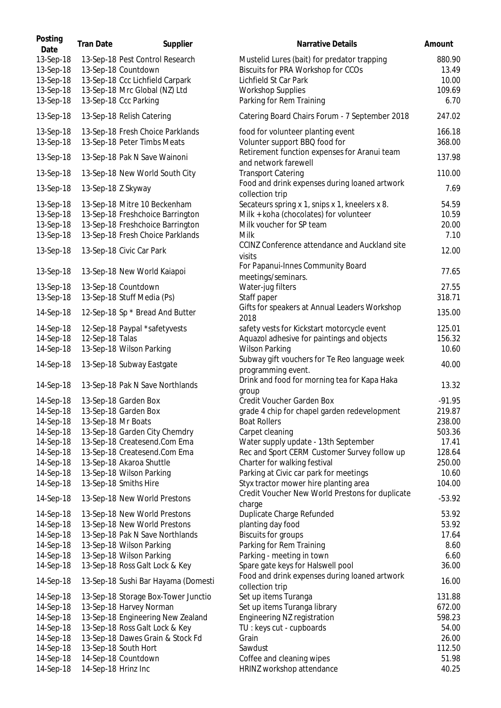| Posting<br>Date        | <b>Tran Date</b>    | Supplier                                                        | Narrative Details                                                                        | Amount             |
|------------------------|---------------------|-----------------------------------------------------------------|------------------------------------------------------------------------------------------|--------------------|
| 13-Sep-18              |                     | 13-Sep-18 Pest Control Research                                 | Mustelid Lures (bait) for predator trapping                                              | 880.90             |
| 13-Sep-18              |                     | 13-Sep-18 Countdown                                             | Biscuits for PRA Workshop for CCOs                                                       | 13.49              |
| 13-Sep-18              |                     | 13-Sep-18 Ccc Lichfield Carpark                                 | Lichfield St Car Park                                                                    | 10.00              |
| 13-Sep-18              |                     | 13-Sep-18 Mrc Global (NZ) Ltd                                   | <b>Workshop Supplies</b>                                                                 | 109.69             |
| 13-Sep-18              |                     | 13-Sep-18 Ccc Parking                                           | Parking for Rem Training                                                                 | 6.7C               |
| 13-Sep-18              |                     | 13-Sep-18 Relish Catering                                       | Catering Board Chairs Forum - 7 September 2018                                           | 247.02             |
|                        |                     |                                                                 |                                                                                          |                    |
| 13-Sep-18<br>13-Sep-18 |                     | 13-Sep-18 Fresh Choice Parklands<br>13-Sep-18 Peter Timbs Meats | food for volunteer planting event<br>Volunter support BBQ food for                       | 166.18<br>368.00   |
| 13-Sep-18              |                     | 13-Sep-18 Pak N Save Wainoni                                    | Retirement function expenses for Aranui team<br>and network farewell                     | 137.98             |
| 13-Sep-18              |                     | 13-Sep-18 New World South City                                  | <b>Transport Catering</b>                                                                | 110.00             |
| 13-Sep-18              | 13-Sep-18 Z Skyway  |                                                                 | Food and drink expenses during loaned artwork<br>collection trip                         | 7.69               |
| 13-Sep-18              |                     | 13-Sep-18 Mitre 10 Beckenham                                    | Secateurs spring x 1, snips x 1, kneelers x 8.                                           | 54.59              |
| 13-Sep-18              |                     | 13-Sep-18 Freshchoice Barrington                                | Milk + koha (chocolates) for volunteer                                                   | 10.59              |
| 13-Sep-18              |                     | 13-Sep-18 Freshchoice Barrington                                | Milk voucher for SP team                                                                 | 20.00              |
| 13-Sep-18              |                     | 13-Sep-18 Fresh Choice Parklands                                | Milk                                                                                     | 7.10               |
|                        |                     |                                                                 | CCINZ Conference attendance and Auckland site                                            |                    |
| 13-Sep-18              |                     | 13-Sep-18 Civic Car Park                                        | visits                                                                                   | 12.00              |
|                        |                     |                                                                 | For Papanui-Innes Community Board                                                        |                    |
| 13-Sep-18              |                     | 13-Sep-18 New World Kaiapoi                                     | meetings/seminars.                                                                       | 77.65              |
| 13-Sep-18              |                     | 13-Sep-18 Countdown                                             | Water-jug filters                                                                        | 27.55              |
| 13-Sep-18              |                     | 13-Sep-18 Stuff Media (Ps)                                      | Staff paper                                                                              | 318.71             |
| 14-Sep-18              |                     | 12-Sep-18 Sp * Bread And Butter                                 | Gifts for speakers at Annual Leaders Workshop<br>2018                                    | 135.00             |
| 14-Sep-18              |                     |                                                                 |                                                                                          | 125.01             |
|                        |                     | 12-Sep-18 Paypal *safetyvests                                   | safety vests for Kickstart motorcycle event                                              |                    |
| 14-Sep-18              | 12-Sep-18 Talas     |                                                                 | Aquazol adhesive for paintings and objects                                               | 156.32             |
| 14-Sep-18              |                     | 13-Sep-18 Wilson Parking                                        | <b>Wilson Parking</b>                                                                    | 10.60              |
| 14-Sep-18              |                     | 13-Sep-18 Subway Eastgate                                       | Subway gift vouchers for Te Reo language week<br>programming event.                      | 40.00              |
| 14-Sep-18              |                     | 13-Sep-18 Pak N Save Northlands                                 | Drink and food for morning tea for Kapa Haka<br>group                                    | 13.32              |
| 14-Sep-18              |                     | 13-Sep-18 Garden Box                                            | Credit Voucher Garden Box                                                                | $-91.95$           |
| 14-Sep-18              |                     | 13-Sep-18 Garden Box                                            | grade 4 chip for chapel garden redevelopment                                             | 219.87             |
| 14-Sep-18              | 13-Sep-18 Mr Boats  |                                                                 | <b>Boat Rollers</b>                                                                      | 238.00             |
| 14-Sep-18              |                     | 13-Sep-18 Garden City Chemdry                                   | Carpet cleaning                                                                          | 503.36             |
| 14-Sep-18              |                     | 13-Sep-18 Createsend.Com Ema                                    | Water supply update - 13th September                                                     | 17.41              |
| 14-Sep-18              |                     | 13-Sep-18 Createsend.Com Ema                                    | Rec and Sport CERM Customer Survey follow up                                             | 128.64             |
|                        |                     |                                                                 |                                                                                          |                    |
| 14-Sep-18              |                     | 13-Sep-18 Akaroa Shuttle                                        | Charter for walking festival                                                             | 250.00             |
| 14-Sep-18              |                     | 13-Sep-18 Wilson Parking                                        | Parking at Civic car park for meetings                                                   | 10.60              |
| 14-Sep-18<br>14-Sep-18 |                     | 13-Sep-18 Smiths Hire<br>13-Sep-18 New World Prestons           | Styx tractor mower hire planting area<br>Credit Voucher New World Prestons for duplicate | 104.00<br>$-53.92$ |
| 14-Sep-18              |                     | 13-Sep-18 New World Prestons                                    | charge<br>Duplicate Charge Refunded                                                      | 53.92              |
| 14-Sep-18              |                     | 13-Sep-18 New World Prestons                                    | planting day food                                                                        | 53.92              |
| 14-Sep-18              |                     | 13-Sep-18 Pak N Save Northlands                                 | <b>Biscuits for groups</b>                                                               | 17.64              |
| 14-Sep-18              |                     | 13-Sep-18 Wilson Parking                                        | Parking for Rem Training                                                                 | 8.60               |
| 14-Sep-18              |                     | 13-Sep-18 Wilson Parking                                        | Parking - meeting in town                                                                | 6.6C               |
| 14-Sep-18              |                     | 13-Sep-18 Ross Galt Lock & Key                                  | Spare gate keys for Halswell pool                                                        | 36.00              |
|                        |                     |                                                                 |                                                                                          |                    |
| 14-Sep-18              |                     | 13-Sep-18 Sushi Bar Hayama (Domesti                             | Food and drink expenses during loaned artwork<br>collection trip                         | 16.00              |
| 14-Sep-18              |                     | 13-Sep-18 Storage Box-Tower Junctio                             | Set up items Turanga                                                                     | 131.88             |
| 14-Sep-18              |                     | 13-Sep-18 Harvey Norman                                         | Set up items Turanga library                                                             | 672.00             |
| 14-Sep-18              |                     | 13-Sep-18 Engineering New Zealand                               | Engineering NZ registration                                                              | 598.23             |
| 14-Sep-18              |                     | 13-Sep-18 Ross Galt Lock & Key                                  | TU: keys cut - cupboards                                                                 | 54.00              |
| 14-Sep-18              |                     | 13-Sep-18 Dawes Grain & Stock Fd                                | Grain                                                                                    | 26.00              |
| 14-Sep-18              |                     | 13-Sep-18 South Hort                                            | Sawdust                                                                                  | 112.50             |
| 14-Sep-18              |                     | 14-Sep-18 Countdown                                             | Coffee and cleaning wipes                                                                | 51.98              |
| 14-Sep-18              | 14-Sep-18 Hrinz Inc |                                                                 | HRINZ workshop attendance                                                                | 40.25              |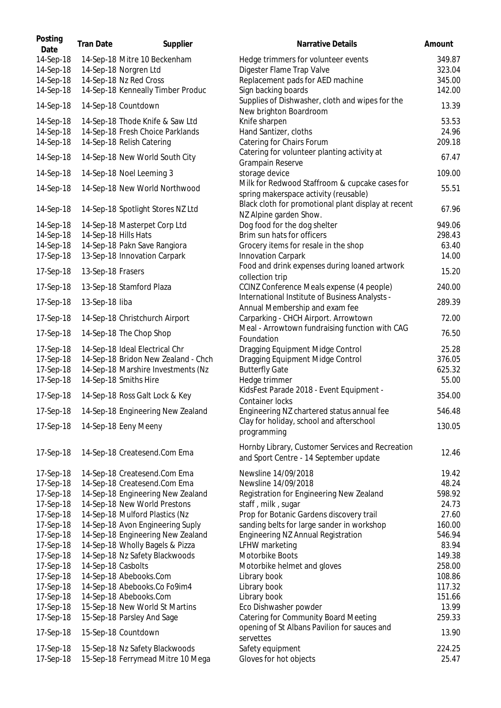| Posting<br>Date | <b>Tran Date</b>     | Supplier                                    | Narrative Details                                                                       | Amount |
|-----------------|----------------------|---------------------------------------------|-----------------------------------------------------------------------------------------|--------|
| 14-Sep-18       |                      | 14-Sep-18 Mitre 10 Beckenham                | Hedge trimmers for volunteer events                                                     | 349.87 |
| 14-Sep-18       |                      | 14-Sep-18 Norgren Ltd                       | Digester Flame Trap Valve                                                               | 323.04 |
| 14-Sep-18       |                      | 14-Sep-18 Nz Red Cross                      | Replacement pads for AED machine                                                        | 345.00 |
| 14-Sep-18       |                      | 14-Sep-18 Kenneally Timber Produc           | Sign backing boards                                                                     | 142.00 |
| 14-Sep-18       |                      | 14-Sep-18 Countdown                         | Supplies of Dishwasher, cloth and wipes for the<br>New brighton Boardroom               | 13.39  |
| 14-Sep-18       |                      | 14-Sep-18 Thode Knife & Saw Ltd             | Knife sharpen                                                                           | 53.53  |
| 14-Sep-18       |                      | 14-Sep-18 Fresh Choice Parklands            | Hand Santizer, cloths                                                                   | 24.96  |
| 14-Sep-18       |                      | 14-Sep-18 Relish Catering                   | Catering for Chairs Forum                                                               | 209.18 |
|                 |                      |                                             | Catering for volunteer planting activity at                                             |        |
| 14-Sep-18       |                      | 14-Sep-18 New World South City              | Grampain Reserve                                                                        | 67.47  |
| 14-Sep-18       |                      | 14-Sep-18 Noel Leeming 3                    | storage device                                                                          | 109.00 |
| 14-Sep-18       |                      | 14-Sep-18 New World Northwood               | Milk for Redwood Staffroom & cupcake cases for<br>spring makerspace activity (reusable) | 55.51  |
| 14-Sep-18       |                      | 14-Sep-18 Spotlight Stores NZ Ltd           | Black cloth for promotional plant display at recent<br>NZ Alpine garden Show.           | 67.96  |
| 14-Sep-18       |                      | 14-Sep-18 Masterpet Corp Ltd                | Dog food for the dog shelter                                                            | 949.06 |
| 14-Sep-18       | 14-Sep-18 Hills Hats |                                             | Brim sun hats for officers                                                              | 298.43 |
| 14-Sep-18       |                      | 14-Sep-18 Pakn Save Rangiora                | Grocery items for resale in the shop                                                    | 63.40  |
| 17-Sep-18       |                      | 13-Sep-18 Innovation Carpark                | <b>Innovation Carpark</b>                                                               | 14.00  |
|                 |                      |                                             | Food and drink expenses during loaned artwork                                           |        |
| 17-Sep-18       | 13-Sep-18 Frasers    |                                             | collection trip                                                                         | 15.20  |
| 17-Sep-18       |                      | 13-Sep-18 Stamford Plaza                    | CCINZ Conference Meals expense (4 people)                                               | 240.00 |
| 17-Sep-18       | 13-Sep-18 liba       |                                             | International Institute of Business Analysts -<br>Annual Membership and exam fee        | 289.39 |
| 17-Sep-18       |                      | 14-Sep-18 Christchurch Airport              | Carparking - CHCH Airport. Arrowtown                                                    | 72.00  |
| 17-Sep-18       |                      | 14-Sep-18 The Chop Shop                     | Meal - Arrowtown fundraising function with CAG<br>Foundation                            | 76.50  |
| 17-Sep-18       |                      | 14-Sep-18 Ideal Electrical Chr              | Dragging Equipment Midge Control                                                        | 25.28  |
| 17-Sep-18       |                      | 14-Sep-18 Bridon New Zealand - Chch         | Dragging Equipment Midge Control                                                        | 376.05 |
| 17-Sep-18       |                      | 14-Sep-18 Marshire Investments (Nz          | <b>Butterfly Gate</b>                                                                   | 625.32 |
| 17-Sep-18       |                      | 14-Sep-18 Smiths Hire                       | Hedge trimmer                                                                           | 55.00  |
|                 |                      |                                             | KidsFest Parade 2018 - Event Equipment -                                                |        |
| 17-Sep-18       |                      | 14-Sep-18 Ross Galt Lock & Key              | Container locks                                                                         | 354.00 |
|                 |                      | 17-Sep-18 14-Sep-18 Engineering New Zealand | Engineering NZ chartered status annual fee<br>Clay for holiday, school and afterschool  | 546.48 |
| 17-Sep-18       |                      | 14-Sep-18 Eeny Meeny                        | programming                                                                             | 130.05 |
|                 |                      |                                             | Hornby Library, Customer Services and Recreation                                        |        |
| 17-Sep-18       |                      | 14-Sep-18 Createsend.Com Ema                | and Sport Centre - 14 September update                                                  | 12.46  |
| 17-Sep-18       |                      | 14-Sep-18 Createsend.Com Ema                | Newsline 14/09/2018                                                                     | 19.42  |
| 17-Sep-18       |                      | 14-Sep-18 Createsend.Com Ema                | Newsline 14/09/2018                                                                     | 48.24  |
| 17-Sep-18       |                      | 14-Sep-18 Engineering New Zealand           | Registration for Engineering New Zealand                                                | 598.92 |
| 17-Sep-18       |                      | 14-Sep-18 New World Prestons                | staff, milk, sugar                                                                      | 24.73  |
| 17-Sep-18       |                      | 14-Sep-18 Mulford Plastics (Nz              | Prop for Botanic Gardens discovery trail                                                | 27.60  |
| 17-Sep-18       |                      | 14-Sep-18 Avon Engineering Suply            | sanding belts for large sander in workshop                                              | 160.00 |
| 17-Sep-18       |                      | 14-Sep-18 Engineering New Zealand           | Engineering NZ Annual Registration                                                      | 546.94 |
| 17-Sep-18       |                      | 14-Sep-18 Wholly Bagels & Pizza             | LFHW marketing                                                                          | 83.94  |
| 17-Sep-18       |                      | 14-Sep-18 Nz Safety Blackwoods              | Motorbike Boots                                                                         | 149.38 |
| 17-Sep-18       | 14-Sep-18 Casbolts   |                                             | Motorbike helmet and gloves                                                             | 258.00 |
| 17-Sep-18       |                      | 14-Sep-18 Abebooks.Com                      | Library book                                                                            | 108.86 |
| 17-Sep-18       |                      | 14-Sep-18 Abebooks.Co Fo9im4                | Library book                                                                            | 117.32 |
| 17-Sep-18       |                      | 14-Sep-18 Abebooks.Com                      | Library book                                                                            | 151.66 |
| 17-Sep-18       |                      | 15-Sep-18 New World St Martins              | Eco Dishwasher powder                                                                   | 13.99  |
| 17-Sep-18       |                      | 15-Sep-18 Parsley And Sage                  | Catering for Community Board Meeting                                                    | 259.33 |
| 17-Sep-18       |                      | 15-Sep-18 Countdown                         | opening of St Albans Pavilion for sauces and<br>servettes                               | 13.90  |
| 17-Sep-18       |                      | 15-Sep-18 Nz Safety Blackwoods              | Safety equipment                                                                        | 224.25 |
| 17-Sep-18       |                      | 15-Sep-18 Ferrymead Mitre 10 Mega           | Gloves for hot objects                                                                  | 25.47  |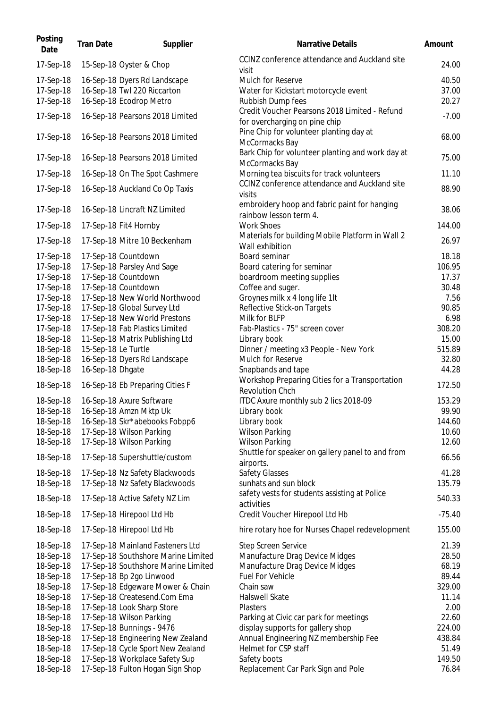| Posting<br>Date | <b>Tran Date</b>    | Supplier                            | <b>Narrative Details</b>                                                       | Amount   |
|-----------------|---------------------|-------------------------------------|--------------------------------------------------------------------------------|----------|
| 17-Sep-18       |                     | 15-Sep-18 Oyster & Chop             | CCINZ conference attendance and Auckland site<br>visit                         | 24.00    |
| 17-Sep-18       |                     | 16-Sep-18 Dyers Rd Landscape        | Mulch for Reserve                                                              | 40.50    |
| 17-Sep-18       |                     | 16-Sep-18 Twl 220 Riccarton         | Water for Kickstart motorcycle event                                           | 37.00    |
| 17-Sep-18       |                     | 16-Sep-18 Ecodrop Metro             | Rubbish Dump fees                                                              | 20.27    |
| 17-Sep-18       |                     | 16-Sep-18 Pearsons 2018 Limited     | Credit Voucher Pearsons 2018 Limited - Refund<br>for overcharging on pine chip | $-7.00$  |
| 17-Sep-18       |                     | 16-Sep-18 Pearsons 2018 Limited     | Pine Chip for volunteer planting day at<br>McCormacks Bay                      | 68.00    |
| 17-Sep-18       |                     | 16-Sep-18 Pearsons 2018 Limited     | Bark Chip for volunteer planting and work day at<br>McCormacks Bay             | 75.00    |
| 17-Sep-18       |                     | 16-Sep-18 On The Spot Cashmere      | Morning tea biscuits for track volunteers                                      | 11.10    |
| 17-Sep-18       |                     | 16-Sep-18 Auckland Co Op Taxis      | CCINZ conference attendance and Auckland site<br>visits                        | 88.90    |
| 17-Sep-18       |                     | 16-Sep-18 Lincraft NZ Limited       | embroidery hoop and fabric paint for hanging<br>rainbow lesson term 4.         | 38.06    |
| 17-Sep-18       |                     | 17-Sep-18 Fit4 Hornby               | <b>Work Shoes</b>                                                              | 144.00   |
| 17-Sep-18       |                     | 17-Sep-18 Mitre 10 Beckenham        | Materials for building Mobile Platform in Wall 2<br>Wall exhibition            | 26.97    |
| 17-Sep-18       |                     | 17-Sep-18 Countdown                 | Board seminar                                                                  | 18.18    |
| 17-Sep-18       |                     | 17-Sep-18 Parsley And Sage          | Board catering for seminar                                                     | 106.95   |
| 17-Sep-18       |                     | 17-Sep-18 Countdown                 | boardroom meeting supplies                                                     | 17.37    |
| 17-Sep-18       |                     | 17-Sep-18 Countdown                 | Coffee and suger.                                                              | 30.48    |
| 17-Sep-18       |                     | 17-Sep-18 New World Northwood       | Groynes milk x 4 long life 1lt                                                 | 7.56     |
| 17-Sep-18       |                     | 17-Sep-18 Global Survey Ltd         | Reflective Stick-on Targets                                                    | 90.85    |
| 17-Sep-18       |                     | 17-Sep-18 New World Prestons        | Milk for BLFP                                                                  | 6.98     |
|                 |                     |                                     |                                                                                |          |
| 17-Sep-18       |                     | 17-Sep-18 Fab Plastics Limited      | Fab-Plastics - 75" screen cover                                                | 308.20   |
| 18-Sep-18       |                     | 11-Sep-18 Matrix Publishing Ltd     | Library book                                                                   | 15.00    |
| 18-Sep-18       | 15-Sep-18 Le Turtle |                                     | Dinner / meeting x3 People - New York                                          | 515.89   |
| 18-Sep-18       |                     | 16-Sep-18 Dyers Rd Landscape        | Mulch for Reserve                                                              | 32.80    |
| 18-Sep-18       | 16-Sep-18 Dhgate    |                                     | Snapbands and tape                                                             | 44.28    |
| 18-Sep-18       |                     | 16-Sep-18 Eb Preparing Cities F     | Workshop Preparing Cities for a Transportation<br><b>Revolution Chch</b>       | 172.50   |
| 18-Sep-18       |                     | 16-Sep-18 Axure Software            | ITDC Axure monthly sub 2 lics 2018-09                                          | 153.29   |
| 18-Sep-18       |                     | 16-Sep-18 Amzn Mktp Uk              | Library book                                                                   | 99.90    |
| 18-Sep-18       |                     | 16-Sep-18 Skr*abebooks Fobpp6       | Library book                                                                   | 144.60   |
| 18-Sep-18       |                     | 17-Sep-18 Wilson Parking            | <b>Wilson Parking</b>                                                          | 10.60    |
| 18-Sep-18       |                     | 17-Sep-18 Wilson Parking            | <b>Wilson Parking</b>                                                          | 12.60    |
| 18-Sep-18       |                     | 17-Sep-18 Supershuttle/custom       | Shuttle for speaker on gallery panel to and from<br>airports.                  | 66.56    |
| 18-Sep-18       |                     | 17-Sep-18 Nz Safety Blackwoods      | <b>Safety Glasses</b>                                                          | 41.28    |
| 18-Sep-18       |                     | 17-Sep-18 Nz Safety Blackwoods      | sunhats and sun block                                                          | 135.79   |
| 18-Sep-18       |                     | 17-Sep-18 Active Safety NZ Lim      | safety vests for students assisting at Police                                  | 540.33   |
| 18-Sep-18       |                     | 17-Sep-18 Hirepool Ltd Hb           | activities<br>Credit Voucher Hirepool Ltd Hb                                   | $-75.40$ |
| 18-Sep-18       |                     | 17-Sep-18 Hirepool Ltd Hb           | hire rotary hoe for Nurses Chapel redevelopment                                | 155.00   |
| 18-Sep-18       |                     | 17-Sep-18 Mainland Fasteners Ltd    | Step Screen Service                                                            | 21.39    |
| 18-Sep-18       |                     | 17-Sep-18 Southshore Marine Limited | Manufacture Drag Device Midges                                                 | 28.50    |
| 18-Sep-18       |                     | 17-Sep-18 Southshore Marine Limited | Manufacture Drag Device Midges                                                 | 68.19    |
| 18-Sep-18       |                     | 17-Sep-18 Bp 2go Linwood            | <b>Fuel For Vehicle</b>                                                        | 89.44    |
| 18-Sep-18       |                     | 17-Sep-18 Edgeware Mower & Chain    | Chain saw                                                                      | 329.00   |
| 18-Sep-18       |                     | 17-Sep-18 Createsend.Com Ema        | Halswell Skate                                                                 | 11.14    |
| 18-Sep-18       |                     | 17-Sep-18 Look Sharp Store          | Plasters                                                                       | 2.00     |
| 18-Sep-18       |                     | 17-Sep-18 Wilson Parking            | Parking at Civic car park for meetings                                         | 22.60    |
| 18-Sep-18       |                     | 17-Sep-18 Bunnings - 9476           | display supports for gallery shop                                              | 224.00   |
| 18-Sep-18       |                     | 17-Sep-18 Engineering New Zealand   | Annual Engineering NZ membership Fee                                           | 438.84   |
| 18-Sep-18       |                     | 17-Sep-18 Cycle Sport New Zealand   | Helmet for CSP staff                                                           | 51.49    |
| 18-Sep-18       |                     | 17-Sep-18 Workplace Safety Sup      | Safety boots                                                                   | 149.50   |
| 18-Sep-18       |                     | 17-Sep-18 Fulton Hogan Sign Shop    | Replacement Car Park Sign and Pole                                             | 76.84    |
|                 |                     |                                     |                                                                                |          |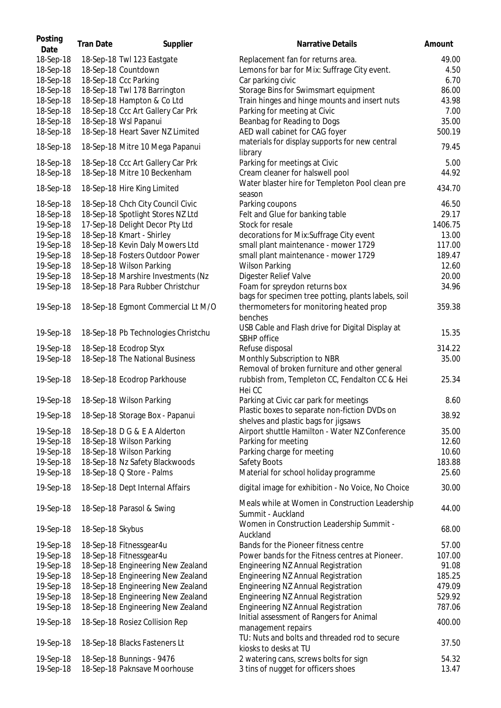| Posting<br>Date | <b>Tran Date</b> | Supplier                            | <b>Narrative Details</b>                                                                        | Amount  |
|-----------------|------------------|-------------------------------------|-------------------------------------------------------------------------------------------------|---------|
| 18-Sep-18       |                  | 18-Sep-18 Twl 123 Eastgate          | Replacement fan for returns area.                                                               | 49.00   |
| 18-Sep-18       |                  | 18-Sep-18 Countdown                 | Lemons for bar for Mix: Suffrage City event.                                                    | 4.50    |
| 18-Sep-18       |                  | 18-Sep-18 Ccc Parking               | Car parking civic                                                                               | 6.70    |
| 18-Sep-18       |                  | 18-Sep-18 Twl 178 Barrington        | Storage Bins for Swimsmart equipment                                                            | 86.00   |
| 18-Sep-18       |                  | 18-Sep-18 Hampton & Co Ltd          | Train hinges and hinge mounts and insert nuts                                                   | 43.98   |
| 18-Sep-18       |                  | 18-Sep-18 Ccc Art Gallery Car Prk   | Parking for meeting at Civic                                                                    | 7.00    |
| 18-Sep-18       |                  | 18-Sep-18 Wsl Papanui               | Beanbag for Reading to Dogs                                                                     | 35.00   |
| 18-Sep-18       |                  |                                     |                                                                                                 |         |
|                 |                  | 18-Sep-18 Heart Saver NZ Limited    | AED wall cabinet for CAG foyer                                                                  | 500.19  |
| 18-Sep-18       |                  | 18-Sep-18 Mitre 10 Mega Papanui     | materials for display supports for new central<br>library                                       | 79.45   |
| 18-Sep-18       |                  | 18-Sep-18 Ccc Art Gallery Car Prk   | Parking for meetings at Civic                                                                   | 5.00    |
| 18-Sep-18       |                  | 18-Sep-18 Mitre 10 Beckenham        | Cream cleaner for halswell pool                                                                 | 44.92   |
| 18-Sep-18       |                  | 18-Sep-18 Hire King Limited         | Water blaster hire for Templeton Pool clean pre<br>season                                       | 434.70  |
| 18-Sep-18       |                  | 18-Sep-18 Chch City Council Civic   | Parking coupons                                                                                 | 46.50   |
| 18-Sep-18       |                  | 18-Sep-18 Spotlight Stores NZ Ltd   | Felt and Glue for banking table                                                                 | 29.17   |
| 19-Sep-18       |                  | 17-Sep-18 Delight Decor Pty Ltd     | Stock for resale                                                                                | 1406.75 |
| 19-Sep-18       |                  | 18-Sep-18 Kmart - Shirley           | decorations for Mix:Suffrage City event                                                         | 13.00   |
|                 |                  |                                     |                                                                                                 |         |
| 19-Sep-18       |                  | 18-Sep-18 Kevin Daly Mowers Ltd     | small plant maintenance - mower 1729                                                            | 117.00  |
| 19-Sep-18       |                  | 18-Sep-18 Fosters Outdoor Power     | small plant maintenance - mower 1729                                                            | 189.47  |
| 19-Sep-18       |                  | 18-Sep-18 Wilson Parking            | <b>Wilson Parking</b>                                                                           | 12.60   |
| 19-Sep-18       |                  | 18-Sep-18 Marshire Investments (Nz  | Digester Relief Valve                                                                           | 20.00   |
| 19-Sep-18       |                  | 18-Sep-18 Para Rubber Christchur    | Foam for spreydon returns box                                                                   | 34.96   |
|                 |                  |                                     | bags for specimen tree potting, plants labels, soil                                             |         |
| 19-Sep-18       |                  | 18-Sep-18 Egmont Commercial Lt M/O  | thermometers for monitoring heated prop<br>benches                                              | 359.38  |
| 19-Sep-18       |                  | 18-Sep-18 Pb Technologies Christchu | USB Cable and Flash drive for Digital Display at<br>SBHP office                                 | 15.35   |
|                 |                  |                                     |                                                                                                 | 314.22  |
| 19-Sep-18       |                  | 18-Sep-18 Ecodrop Styx              | Refuse disposal                                                                                 |         |
| 19-Sep-18       |                  | 18-Sep-18 The National Business     | Monthly Subscription to NBR                                                                     | 35.00   |
| 19-Sep-18       |                  | 18-Sep-18 Ecodrop Parkhouse         | Removal of broken furniture and other general<br>rubbish from, Templeton CC, Fendalton CC & Hei | 25.34   |
|                 |                  |                                     | Hei CC                                                                                          |         |
| 19-Sep-18       |                  | 18-Sep-18 Wilson Parking            | Parking at Civic car park for meetings                                                          | 8.60    |
| 19-Sep-18       |                  | 18-Sep-18 Storage Box - Papanui     | Plastic boxes to separate non-fiction DVDs on                                                   | 38.92   |
|                 |                  |                                     | shelves and plastic bags for jigsaws                                                            |         |
| 19-Sep-18       |                  | 18-Sep-18 D G & E A Alderton        | Airport shuttle Hamilton - Water NZ Conference                                                  | 35.00   |
| 19-Sep-18       |                  | 18-Sep-18 Wilson Parking            | Parking for meeting                                                                             | 12.60   |
| 19-Sep-18       |                  | 18-Sep-18 Wilson Parking            | Parking charge for meeting                                                                      | 10.60   |
| 19-Sep-18       |                  | 18-Sep-18 Nz Safety Blackwoods      | Safety Boots                                                                                    | 183.88  |
| 19-Sep-18       |                  | 18-Sep-18 Q Store - Palms           | Material for school holiday programme                                                           | 25.60   |
| 19-Sep-18       |                  | 18-Sep-18 Dept Internal Affairs     | digital image for exhibition - No Voice, No Choice                                              | 30.00   |
|                 |                  |                                     |                                                                                                 |         |
| 19-Sep-18       |                  | 18-Sep-18 Parasol & Swing           | Meals while at Women in Construction Leadership<br>Summit - Auckland                            | 44.00   |
| 19-Sep-18       | 18-Sep-18 Skybus |                                     | Women in Construction Leadership Summit -<br>Auckland                                           | 68.00   |
| 19-Sep-18       |                  | 18-Sep-18 Fitnessgear4u             | Bands for the Pioneer fitness centre                                                            | 57.00   |
| 19-Sep-18       |                  | 18-Sep-18 Fitnessgear4u             | Power bands for the Fitness centres at Pioneer.                                                 | 107.00  |
| 19-Sep-18       |                  | 18-Sep-18 Engineering New Zealand   | Engineering NZ Annual Registration                                                              | 91.08   |
| 19-Sep-18       |                  | 18-Sep-18 Engineering New Zealand   | Engineering NZ Annual Registration                                                              | 185.25  |
|                 |                  |                                     |                                                                                                 |         |
| 19-Sep-18       |                  | 18-Sep-18 Engineering New Zealand   | Engineering NZ Annual Registration                                                              | 479.09  |
| 19-Sep-18       |                  | 18-Sep-18 Engineering New Zealand   | Engineering NZ Annual Registration                                                              | 529.92  |
| 19-Sep-18       |                  | 18-Sep-18 Engineering New Zealand   | Engineering NZ Annual Registration                                                              | 787.06  |
| 19-Sep-18       |                  | 18-Sep-18 Rosiez Collision Rep      | Initial assessment of Rangers for Animal<br>management repairs                                  | 400.00  |
| 19-Sep-18       |                  | 18-Sep-18 Blacks Fasteners Lt       | TU: Nuts and bolts and threaded rod to secure<br>kiosks to desks at TU                          | 37.50   |
| 19-Sep-18       |                  | 18-Sep-18 Bunnings - 9476           | 2 watering cans, screws bolts for sign                                                          | 54.32   |
| 19-Sep-18       |                  | 18-Sep-18 Paknsave Moorhouse        | 3 tins of nugget for officers shoes                                                             | 13.47   |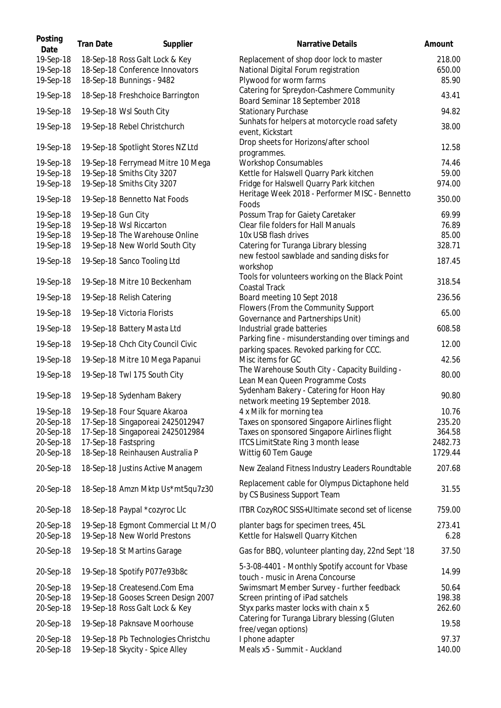| Posting<br>Date        | <b>Tran Date</b>   | Supplier                                                           | Narrative Details                                                                            | Amount           |
|------------------------|--------------------|--------------------------------------------------------------------|----------------------------------------------------------------------------------------------|------------------|
| 19-Sep-18<br>19-Sep-18 |                    | 18-Sep-18 Ross Galt Lock & Key<br>18-Sep-18 Conference Innovators  | Replacement of shop door lock to master<br>National Digital Forum registration               | 218.00<br>650.00 |
| 19-Sep-18              |                    | 18-Sep-18 Bunnings - 9482                                          | Plywood for worm farms                                                                       | 85.90            |
| 19-Sep-18              |                    | 18-Sep-18 Freshchoice Barrington                                   | Catering for Spreydon-Cashmere Community<br>Board Seminar 18 September 2018                  | 43.41            |
| 19-Sep-18              |                    | 19-Sep-18 Wsl South City                                           | <b>Stationary Purchase</b>                                                                   | 94.82            |
| 19-Sep-18              |                    | 19-Sep-18 Rebel Christchurch                                       | Sunhats for helpers at motorcycle road safety<br>event, Kickstart                            | 38.00            |
| 19-Sep-18              |                    | 19-Sep-18 Spotlight Stores NZ Ltd                                  | Drop sheets for Horizons/after school<br>programmes.                                         | 12.58            |
| 19-Sep-18              |                    | 19-Sep-18 Ferrymead Mitre 10 Mega                                  | <b>Workshop Consumables</b>                                                                  | 74.46            |
| 19-Sep-18              |                    | 19-Sep-18 Smiths City 3207                                         | Kettle for Halswell Quarry Park kitchen                                                      | 59.00            |
| 19-Sep-18              |                    | 19-Sep-18 Smiths City 3207                                         | Fridge for Halswell Quarry Park kitchen                                                      | 974.00           |
| 19-Sep-18              |                    | 19-Sep-18 Bennetto Nat Foods                                       | Heritage Week 2018 - Performer MISC - Bennetto<br>Foods                                      | 350.00           |
| 19-Sep-18              | 19-Sep-18 Gun City |                                                                    | Possum Trap for Gaiety Caretaker                                                             | 69.99            |
| 19-Sep-18              |                    | 19-Sep-18 Wsl Riccarton                                            | Clear file folders for Hall Manuals                                                          | 76.89            |
| 19-Sep-18              |                    | 19-Sep-18 The Warehouse Online                                     | 10x USB flash drives                                                                         | 85.00            |
| 19-Sep-18              |                    | 19-Sep-18 New World South City                                     | Catering for Turanga Library blessing                                                        | 328.71           |
| 19-Sep-18              |                    | 19-Sep-18 Sanco Tooling Ltd                                        | new festool sawblade and sanding disks for<br>workshop                                       | 187.45           |
| 19-Sep-18              |                    | 19-Sep-18 Mitre 10 Beckenham                                       | Tools for volunteers working on the Black Point<br>Coastal Track                             | 318.54           |
| 19-Sep-18              |                    | 19-Sep-18 Relish Catering                                          | Board meeting 10 Sept 2018                                                                   | 236.56           |
| 19-Sep-18              |                    | 19-Sep-18 Victoria Florists                                        | Flowers (From the Community Support                                                          | 65.00            |
| 19-Sep-18              |                    | 19-Sep-18 Battery Masta Ltd                                        | Governance and Partnerships Unit)<br>Industrial grade batteries                              | 608.58           |
| 19-Sep-18              |                    | 19-Sep-18 Chch City Council Civic                                  | Parking fine - misunderstanding over timings and<br>parking spaces. Revoked parking for CCC. | 12.00            |
| 19-Sep-18              |                    | 19-Sep-18 Mitre 10 Mega Papanui                                    | Misc items for GC                                                                            | 42.56            |
| 19-Sep-18              |                    | 19-Sep-18 Twl 175 South City                                       | The Warehouse South City - Capacity Building -<br>Lean Mean Queen Programme Costs            | 80.00            |
| 19-Sep-18              |                    | 19-Sep-18 Sydenham Bakery                                          | Sydenham Bakery - Catering for Hoon Hay<br>network meeting 19 September 2018.                | 90.80            |
| 19-Sep-18              |                    | 19-Sep-18 Four Square Akaroa                                       | 4 x Milk for morning tea                                                                     | 10.76            |
| 20-Sep-18              |                    | 17-Sep-18 Singaporeai 2425012947                                   | Taxes on sponsored Singapore Airlines flight                                                 | 235.20           |
| 20-Sep-18              |                    | 17-Sep-18 Singaporeai 2425012984                                   | Taxes on sponsored Singapore Airlines flight                                                 | 364.58           |
| 20-Sep-18              |                    | 17-Sep-18 Fastspring                                               | ITCS LimitState Ring 3 month lease                                                           | 2482.73          |
| 20-Sep-18              |                    | 18-Sep-18 Reinhausen Australia P                                   | Wittig 60 Tem Gauge                                                                          | 1729.44          |
| 20-Sep-18              |                    | 18-Sep-18 Justins Active Managem                                   | New Zealand Fitness Industry Leaders Roundtable                                              | 207.68           |
| 20-Sep-18              |                    | 18-Sep-18 Amzn Mktp Us*mt5qu7z30                                   | Replacement cable for Olympus Dictaphone held<br>by CS Business Support Team                 | 31.55            |
| 20-Sep-18              |                    | 18-Sep-18 Paypal *cozyroc Llc                                      | ITBR CozyROC SISS+Ultimate second set of license                                             | 759.00           |
| 20-Sep-18<br>20-Sep-18 |                    | 19-Sep-18 Egmont Commercial Lt M/O<br>19-Sep-18 New World Prestons | planter bags for specimen trees, 45L<br>Kettle for Halswell Quarry Kitchen                   | 273.41<br>6.28   |
| 20-Sep-18              |                    | 19-Sep-18 St Martins Garage                                        | Gas for BBQ, volunteer planting day, 22nd Sept '18                                           | 37.50            |
| 20-Sep-18              |                    | 19-Sep-18 Spotify P077e93b8c                                       | 5-3-08-4401 - Monthly Spotify account for Vbase<br>touch - music in Arena Concourse          | 14.99            |
| 20-Sep-18              |                    | 19-Sep-18 Createsend.Com Ema                                       | Swimsmart Member Survey - further feedback                                                   | 50.64            |
| 20-Sep-18              |                    | 19-Sep-18 Gooses Screen Design 2007                                | Screen printing of iPad satchels                                                             | 198.38           |
| 20-Sep-18              |                    | 19-Sep-18 Ross Galt Lock & Key                                     | Styx parks master locks with chain x 5                                                       | 262.60           |
| 20-Sep-18              |                    | 19-Sep-18 Paknsave Moorhouse                                       | Catering for Turanga Library blessing (Gluten                                                | 19.58            |
| 20-Sep-18              |                    | 19-Sep-18 Pb Technologies Christchu                                | free/vegan options)<br>I phone adapter                                                       | 97.37            |
| 20-Sep-18              |                    | 19-Sep-18 Skycity - Spice Alley                                    | Meals x5 - Summit - Auckland                                                                 | 140.00           |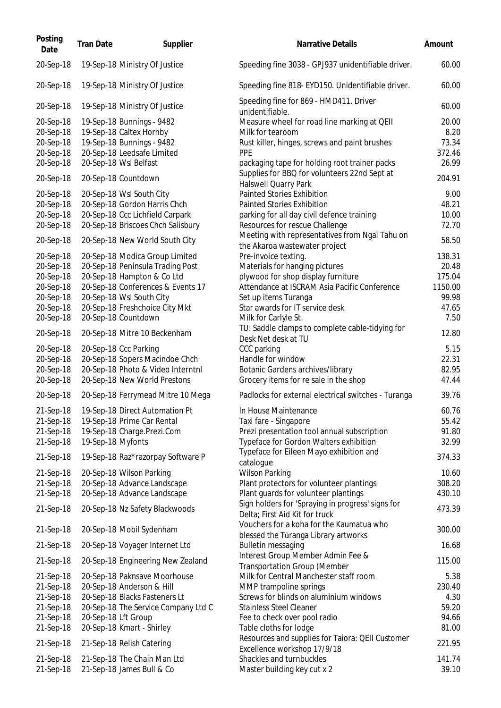| Posting<br>Date        | <b>Tran Date</b>  | Supplier                                                | Narrative Details                                                                   | Amount        |
|------------------------|-------------------|---------------------------------------------------------|-------------------------------------------------------------------------------------|---------------|
| 20-Sep-18              |                   | 19-Sep-18 Ministry Of Justice                           | Speeding fine 3038 - GPJ937 unidentifiable driver.                                  | 60.00         |
| 20-Sep-18              |                   | 19-Sep-18 Ministry Of Justice                           | Speeding fine 818- EYD150. Unidentifiable driver.                                   | 60.00         |
| 20-Sep-18              |                   | 19-Sep-18 Ministry Of Justice                           | Speeding fine for 869 - HMD411. Driver<br>unidentifiable.                           | 60.00         |
| 20-Sep-18<br>20-Sep-18 |                   | 19-Sep-18 Bunnings - 9482<br>19-Sep-18 Caltex Hornby    | Measure wheel for road line marking at QEII<br>Milk for tearoom                     | 20.00<br>8.20 |
| 20-Sep-18              |                   | 19-Sep-18 Bunnings - 9482                               | Rust killer, hinges, screws and paint brushes                                       | 73.34         |
| 20-Sep-18              |                   | 20-Sep-18 Leedsafe Limited                              | <b>PPE</b>                                                                          | 372.46        |
| 20-Sep-18              |                   | 20-Sep-18 Wsl Belfast                                   | packaging tape for holding root trainer packs                                       | 26.99         |
| 20-Sep-18              |                   | 20-Sep-18 Countdown                                     | Supplies for BBQ for volunteers 22nd Sept at<br>Halswell Quarry Park                | 204.91        |
| 20-Sep-18              |                   | 20-Sep-18 Wsl South City                                | <b>Painted Stories Exhibition</b>                                                   | 9.00          |
| 20-Sep-18              |                   | 20-Sep-18 Gordon Harris Chch                            | <b>Painted Stories Exhibition</b>                                                   | 48.21         |
| 20-Sep-18              |                   | 20-Sep-18 Ccc Lichfield Carpark                         | parking for all day civil defence training                                          | 10.00         |
| 20-Sep-18              |                   | 20-Sep-18 Briscoes Chch Salisbury                       | Resources for rescue Challenge                                                      | 72.70         |
| 20-Sep-18              |                   | 20-Sep-18 New World South City                          | Meeting with representatives from Ngai Tahu on<br>the Akaroa wastewater project     | 58.50         |
| 20-Sep-18              |                   | 20-Sep-18 Modica Group Limited                          | Pre-invoice texting.                                                                | 138.31        |
| 20-Sep-18              |                   | 20-Sep-18 Peninsula Trading Post                        | Materials for hanging pictures                                                      | 20.48         |
| 20-Sep-18              |                   | 20-Sep-18 Hampton & Co Ltd                              | plywood for shop display furniture                                                  | 175.04        |
| 20-Sep-18              |                   | 20-Sep-18 Conferences & Events 17                       | Attendance at ISCRAM Asia Pacific Conference                                        | 1150.00       |
| 20-Sep-18              |                   | 20-Sep-18 Wsl South City                                | Set up items Turanga                                                                | 99.98         |
| 20-Sep-18              |                   | 20-Sep-18 Freshchoice City Mkt<br>20-Sep-18 Countdown   | Star awards for IT service desk                                                     | 47.65<br>7.50 |
| 20-Sep-18              |                   |                                                         | Milk for Carlyle St.<br>TU: Saddle clamps to complete cable-tidying for             |               |
| 20-Sep-18              |                   | 20-Sep-18 Mitre 10 Beckenham                            | Desk Net desk at TU                                                                 | 12.80         |
| 20-Sep-18              |                   | 20-Sep-18 Ccc Parking<br>20-Sep-18 Sopers Macindoe Chch | CCC parking<br>Handle for window                                                    | 5.15<br>22.31 |
| 20-Sep-18<br>20-Sep-18 |                   | 20-Sep-18 Photo & Video Interntnl                       | Botanic Gardens archives/library                                                    | 82.95         |
| 20-Sep-18              |                   | 20-Sep-18 New World Prestons                            | Grocery items for re sale in the shop                                               | 47.44         |
| 20-Sep-18              |                   | 20-Sep-18 Ferrymead Mitre 10 Mega                       | Padlocks for external electrical switches - Turanga                                 | 39.76         |
| 21-Sep-18              |                   | 19-Sep-18 Direct Automation Pt                          | In House Maintenance                                                                | 60.76         |
| 21-Sep-18              |                   | 19-Sep-18 Prime Car Rental                              | Taxi fare - Singapore                                                               | 55.42         |
| 21-Sep-18              |                   | 19-Sep-18 Charge.Prezi.Com                              | Prezi presentation tool annual subscription                                         | 91.80         |
| 21-Sep-18              | 19-Sep-18 Myfonts |                                                         | Typeface for Gordon Walters exhibition                                              | 32.99         |
| 21-Sep-18              |                   | 19-Sep-18 Raz*razorpay Software P                       | Typeface for Eileen Mayo exhibition and<br>catalogue                                | 374.33        |
| 21-Sep-18              |                   | 20-Sep-18 Wilson Parking                                | <b>Wilson Parking</b>                                                               | 10.60         |
| 21-Sep-18              |                   | 20-Sep-18 Advance Landscape                             | Plant protectors for volunteer plantings                                            | 308.20        |
| 21-Sep-18              |                   | 20-Sep-18 Advance Landscape                             | Plant guards for volunteer plantings                                                | 430.10        |
| 21-Sep-18              |                   | 20-Sep-18 Nz Safety Blackwoods                          | Sign holders for 'Spraying in progress' signs for<br>Delta; First Aid Kit for truck | 473.39        |
| 21-Sep-18              |                   | 20-Sep-18 Mobil Sydenham                                | Vouchers for a koha for the Kaumatua who<br>blessed the Tūranga Library artworks    | 300.00        |
| 21-Sep-18              |                   | 20-Sep-18 Voyager Internet Ltd                          | <b>Bulletin messaging</b>                                                           | 16.68         |
| 21-Sep-18              |                   | 20-Sep-18 Engineering New Zealand                       | Interest Group Member Admin Fee &<br>Transportation Group (Member                   | 115.00        |
| 21-Sep-18              |                   | 20-Sep-18 Paknsave Moorhouse                            | Milk for Central Manchester staff room                                              | 5.38          |
| 21-Sep-18              |                   | 20-Sep-18 Anderson & Hill                               | MMP trampoline springs                                                              | 230.40        |
| 21-Sep-18              |                   | 20-Sep-18 Blacks Fasteners Lt                           | Screws for blinds on aluminium windows                                              | 4.30          |
| 21-Sep-18              |                   | 20-Sep-18 The Service Company Ltd C                     | <b>Stainless Steel Cleaner</b>                                                      | 59.20         |
| 21-Sep-18              |                   | 20-Sep-18 Lft Group                                     | Fee to check over pool radio                                                        | 94.66         |
| 21-Sep-18              |                   | 20-Sep-18 Kmart - Shirley                               | Table cloths for lodge                                                              | 81.00         |
| 21-Sep-18              |                   | 21-Sep-18 Relish Catering                               | Resources and supplies for Taiora: QEII Customer<br>Excellence workshop 17/9/18     | 221.95        |
| 21-Sep-18              |                   | 21-Sep-18 The Chain Man Ltd                             | Shackles and turnbuckles                                                            | 141.74        |
| 21-Sep-18              |                   | 21-Sep-18 James Bull & Co                               | Master building key cut x 2                                                         | 39.10         |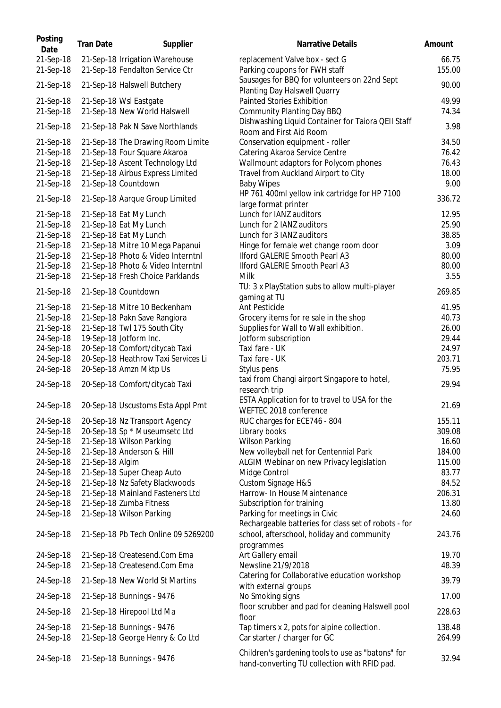| Posting<br>Date        | <b>Tran Date</b> | Supplier                                                          | Narrative Details                                                                                 |
|------------------------|------------------|-------------------------------------------------------------------|---------------------------------------------------------------------------------------------------|
| 21-Sep-18<br>21-Sep-18 |                  | 21-Sep-18 Irrigation Warehouse<br>21-Sep-18 Fendalton Service Ctr | replacement Valve box - sect G<br>Parking coupons for FWH staff                                   |
| 21-Sep-18              |                  | 21-Sep-18 Halswell Butchery                                       | Sausages for BBQ for volunteers on 22nd Sept<br>Planting Day Halswell Quarry                      |
| 21-Sep-18<br>21-Sep-18 |                  | 21-Sep-18 Wsl Eastgate<br>21-Sep-18 New World Halswell            | <b>Painted Stories Exhibition</b><br><b>Community Planting Day BBQ</b>                            |
| 21-Sep-18              |                  | 21-Sep-18 Pak N Save Northlands                                   | Dishwashing Liquid Container for Taiora QEII Staff<br>Room and First Aid Room                     |
| 21-Sep-18              |                  | 21-Sep-18 The Drawing Room Limite                                 | Conservation equipment - roller                                                                   |
| 21-Sep-18              |                  | 21-Sep-18 Four Square Akaroa                                      | Catering Akaroa Service Centre                                                                    |
| 21-Sep-18              |                  | 21-Sep-18 Ascent Technology Ltd                                   | Wallmount adaptors for Polycom phones                                                             |
| 21-Sep-18              |                  | 21-Sep-18 Airbus Express Limited                                  | Travel from Auckland Airport to City                                                              |
| 21-Sep-18              |                  | 21-Sep-18 Countdown                                               | <b>Baby Wipes</b>                                                                                 |
| 21-Sep-18              |                  | 21-Sep-18 Aarque Group Limited                                    | HP 761 400ml yellow ink cartridge for HP 7100<br>large format printer                             |
| 21-Sep-18              |                  | 21-Sep-18 Eat My Lunch                                            | Lunch for IANZ auditors                                                                           |
| 21-Sep-18              |                  | 21-Sep-18 Eat My Lunch                                            | Lunch for 2 IANZ auditors                                                                         |
| 21-Sep-18              |                  | 21-Sep-18 Eat My Lunch                                            | Lunch for 3 IANZ auditors                                                                         |
| 21-Sep-18              |                  | 21-Sep-18 Mitre 10 Mega Papanui                                   | Hinge for female wet change room door                                                             |
| 21-Sep-18              |                  | 21-Sep-18 Photo & Video Interntnl                                 | Ilford GALERIE Smooth Pearl A3                                                                    |
| 21-Sep-18              |                  | 21-Sep-18 Photo & Video Interntnl                                 | <b>Ilford GALERIE Smooth Pearl A3</b>                                                             |
| 21-Sep-18              |                  | 21-Sep-18 Fresh Choice Parklands                                  | Milk                                                                                              |
| 21-Sep-18              |                  | 21-Sep-18 Countdown                                               | TU: 3 x PlayStation subs to allow multi-player<br>gaming at TU                                    |
| 21-Sep-18              |                  | 21-Sep-18 Mitre 10 Beckenham                                      | <b>Ant Pesticide</b>                                                                              |
| 21-Sep-18              |                  | 21-Sep-18 Pakn Save Rangiora                                      | Grocery items for re sale in the shop                                                             |
| 21-Sep-18              |                  | 21-Sep-18 Twl 175 South City                                      | Supplies for Wall to Wall exhibition.                                                             |
| 24-Sep-18              |                  | 19-Sep-18 Jotform Inc.                                            | Jotform subscription                                                                              |
| 24-Sep-18              |                  | 20-Sep-18 Comfort/citycab Taxi                                    | Taxi fare - UK                                                                                    |
| 24-Sep-18              |                  | 20-Sep-18 Heathrow Taxi Services Li                               | Taxi fare - UK                                                                                    |
| 24-Sep-18              |                  | 20-Sep-18 Amzn Mktp Us                                            | Stylus pens                                                                                       |
| 24-Sep-18              |                  | 20-Sep-18 Comfort/citycab Taxi                                    | taxi from Changi airport Singapore to hotel,<br>research trip                                     |
| 24-Sep-18              |                  | 20-Sep-18 Uscustoms Esta Appl Pmt                                 | ESTA Application for to travel to USA for the<br>WEFTEC 2018 conference                           |
| 24-Sep-18              |                  | 20-Sep-18 Nz Transport Agency                                     | RUC charges for ECE746 - 804                                                                      |
| 24-Sep-18              |                  | 20-Sep-18 Sp * Museumsetc Ltd                                     | Library books                                                                                     |
| 24-Sep-18              |                  | 21-Sep-18 Wilson Parking                                          | <b>Wilson Parking</b>                                                                             |
| 24-Sep-18              |                  | 21-Sep-18 Anderson & Hill                                         | New volleyball net for Centennial Park                                                            |
| 24-Sep-18              | 21-Sep-18 Algim  |                                                                   | ALGIM Webinar on new Privacy legislation                                                          |
| 24-Sep-18              |                  | 21-Sep-18 Super Cheap Auto                                        | Midge Control                                                                                     |
| 24-Sep-18              |                  | 21-Sep-18 Nz Safety Blackwoods                                    | Custom Signage H&S                                                                                |
| 24-Sep-18              |                  | 21-Sep-18 Mainland Fasteners Ltd                                  | Harrow- In House Maintenance                                                                      |
| 24-Sep-18              |                  | 21-Sep-18 Zumba Fitness                                           | Subscription for training                                                                         |
| 24-Sep-18              |                  | 21-Sep-18 Wilson Parking                                          | Parking for meetings in Civic<br>Rechargeable batteries for class set of robots - for             |
| 24-Sep-18              |                  | 21-Sep-18 Pb Tech Online 09 5269200                               | school, afterschool, holiday and community<br>programmes                                          |
| 24-Sep-18              |                  | 21-Sep-18 Createsend.Com Ema                                      | Art Gallery email                                                                                 |
| 24-Sep-18              |                  | 21-Sep-18 Createsend.Com Ema                                      | Newsline 21/9/2018                                                                                |
|                        |                  |                                                                   | Catering for Collaborative education workshop                                                     |
| 24-Sep-18              |                  | 21-Sep-18 New World St Martins                                    | with external groups                                                                              |
| 24-Sep-18<br>24-Sep-18 |                  | 21-Sep-18 Bunnings - 9476<br>21-Sep-18 Hirepool Ltd Ma            | No Smoking signs<br>floor scrubber and pad for cleaning Halswell pool                             |
|                        |                  |                                                                   | floor                                                                                             |
| 24-Sep-18<br>24-Sep-18 |                  | 21-Sep-18 Bunnings - 9476<br>21-Sep-18 George Henry & Co Ltd      | Tap timers x 2, pots for alpine collection.<br>Car starter / charger for GC                       |
|                        |                  |                                                                   |                                                                                                   |
| 24-Sep-18              |                  | 21-Sep-18 Bunnings - 9476                                         | Children's gardening tools to use as "batons" for<br>hand-converting TU collection with RFID pad. |

| .<br>Date              | Tran Date       | Supplier                                                     | Narrative Details                                    | Amount |
|------------------------|-----------------|--------------------------------------------------------------|------------------------------------------------------|--------|
| 21-Sep-18              |                 | 21-Sep-18 Irrigation Warehouse                               | replacement Valve box - sect G                       | 66.75  |
| 21-Sep-18              |                 | 21-Sep-18 Fendalton Service Ctr                              | Parking coupons for FWH staff                        | 155.00 |
|                        |                 |                                                              | Sausages for BBQ for volunteers on 22nd Sept         |        |
| 21-Sep-18              |                 | 21-Sep-18 Halswell Butchery                                  | Planting Day Halswell Quarry                         | 90.00  |
| 21-Sep-18              |                 | 21-Sep-18 Wsl Eastgate                                       | <b>Painted Stories Exhibition</b>                    | 49.99  |
| 21-Sep-18              |                 | 21-Sep-18 New World Halswell                                 | Community Planting Day BBQ                           | 74.34  |
|                        |                 |                                                              | Dishwashing Liquid Container for Taiora QEII Staff   |        |
| 21-Sep-18              |                 | 21-Sep-18 Pak N Save Northlands                              | Room and First Aid Room                              | 3.98   |
| 21-Sep-18              |                 | 21-Sep-18 The Drawing Room Limite                            | Conservation equipment - roller                      | 34.50  |
| 21-Sep-18              |                 | 21-Sep-18 Four Square Akaroa                                 | Catering Akaroa Service Centre                       | 76.42  |
| 21-Sep-18              |                 | 21-Sep-18 Ascent Technology Ltd                              | Wallmount adaptors for Polycom phones                | 76.43  |
| 21-Sep-18              |                 | 21-Sep-18 Airbus Express Limited                             | Travel from Auckland Airport to City                 | 18.00  |
| 21-Sep-18              |                 | 21-Sep-18 Countdown                                          | <b>Baby Wipes</b>                                    | 9.00   |
|                        |                 |                                                              | HP 761 400ml yellow ink cartridge for HP 7100        |        |
| 21-Sep-18              |                 | 21-Sep-18 Aarque Group Limited                               | large format printer                                 | 336.72 |
| 21-Sep-18              |                 | 21-Sep-18 Eat My Lunch                                       | Lunch for IANZ auditors                              | 12.95  |
| 21-Sep-18              |                 | 21-Sep-18 Eat My Lunch                                       | Lunch for 2 IANZ auditors                            | 25.90  |
| 21-Sep-18              |                 | 21-Sep-18 Eat My Lunch                                       | Lunch for 3 IANZ auditors                            | 38.85  |
| 21-Sep-18              |                 | 21-Sep-18 Mitre 10 Mega Papanui                              | Hinge for female wet change room door                | 3.09   |
| 21-Sep-18              |                 | 21-Sep-18 Photo & Video Interntnl                            | Ilford GALERIE Smooth Pearl A3                       | 80.00  |
| 21-Sep-18              |                 | 21-Sep-18 Photo & Video Interntnl                            | Ilford GALERIE Smooth Pearl A3                       | 80.00  |
| 21-Sep-18              |                 | 21-Sep-18 Fresh Choice Parklands                             | Milk                                                 | 3.55   |
|                        |                 |                                                              | TU: 3 x PlayStation subs to allow multi-player       |        |
| 21-Sep-18              |                 | 21-Sep-18 Countdown                                          | gaming at TU                                         | 269.85 |
| 21-Sep-18              |                 | 21-Sep-18 Mitre 10 Beckenham                                 | Ant Pesticide                                        | 41.95  |
| 21-Sep-18              |                 | 21-Sep-18 Pakn Save Rangiora                                 | Grocery items for re sale in the shop                | 40.73  |
| 21-Sep-18              |                 | 21-Sep-18 Twl 175 South City                                 | Supplies for Wall to Wall exhibition.                | 26.00  |
| 24-Sep-18              |                 | 19-Sep-18 Jotform Inc.                                       | Jotform subscription                                 | 29.44  |
| 24-Sep-18              |                 | 20-Sep-18 Comfort/citycab Taxi                               | Taxi fare - UK                                       | 24.97  |
| 24-Sep-18              |                 | 20-Sep-18 Heathrow Taxi Services Li                          | Taxi fare - UK                                       | 203.71 |
| 24-Sep-18              |                 | 20-Sep-18 Amzn Mktp Us                                       | Stylus pens                                          | 75.95  |
|                        |                 |                                                              | taxi from Changi airport Singapore to hotel,         |        |
| 24-Sep-18              |                 | 20-Sep-18 Comfort/citycab Taxi                               | research trip                                        | 29.94  |
|                        |                 |                                                              | ESTA Application for to travel to USA for the        |        |
| 24-Sep-18              |                 | 20-Sep-18 Uscustoms Esta Appl Pmt                            | WEFTEC 2018 conference                               | 21.69  |
| 24-Sep-18              |                 | 20-Sep-18 Nz Transport Agency                                |                                                      | 155.11 |
| 24-Sep-18              |                 | 20-Sep-18 Sp * Museumsetc Ltd                                | RUC charges for ECE746 - 804<br>Library books        | 309.08 |
| 24-Sep-18              |                 | 21-Sep-18 Wilson Parking                                     | <b>Wilson Parking</b>                                | 16.60  |
| 24-Sep-18              |                 | 21-Sep-18 Anderson & Hill                                    | New volleyball net for Centennial Park               | 184.00 |
| 24-Sep-18              | 21-Sep-18 Algim |                                                              |                                                      | 115.00 |
|                        |                 |                                                              | ALGIM Webinar on new Privacy legislation             | 83.77  |
| 24-Sep-18<br>24-Sep-18 |                 | 21-Sep-18 Super Cheap Auto<br>21-Sep-18 Nz Safety Blackwoods | Midge Control                                        | 84.52  |
| 24-Sep-18              |                 |                                                              | Custom Signage H&S<br>Harrow- In House Maintenance   | 206.31 |
|                        |                 | 21-Sep-18 Mainland Fasteners Ltd<br>21-Sep-18 Zumba Fitness  |                                                      | 13.80  |
| 24-Sep-18              |                 |                                                              | Subscription for training                            |        |
| 24-Sep-18              |                 | 21-Sep-18 Wilson Parking                                     | Parking for meetings in Civic                        | 24.60  |
|                        |                 |                                                              | Rechargeable batteries for class set of robots - for |        |
| 24-Sep-18              |                 | 21-Sep-18 Pb Tech Online 09 5269200                          | school, afterschool, holiday and community           | 243.76 |
|                        |                 |                                                              | programmes                                           |        |
| 24-Sep-18              |                 | 21-Sep-18 Createsend.Com Ema                                 | Art Gallery email                                    | 19.70  |
| 24-Sep-18              |                 | 21-Sep-18 Createsend.Com Ema                                 | Newsline 21/9/2018                                   | 48.39  |
| 24-Sep-18              |                 | 21-Sep-18 New World St Martins                               | Catering for Collaborative education workshop        | 39.79  |
|                        |                 |                                                              | with external groups                                 |        |
| 24-Sep-18              |                 | 21-Sep-18 Bunnings - 9476                                    | No Smoking signs                                     | 17.00  |
| 24-Sep-18              |                 | 21-Sep-18 Hirepool Ltd Ma                                    | floor scrubber and pad for cleaning Halswell pool    | 228.63 |
|                        |                 |                                                              | floor                                                |        |
| 24-Sep-18              |                 | 21-Sep-18 Bunnings - 9476                                    | Tap timers x 2, pots for alpine collection.          | 138.48 |
| 24-Sep-18              |                 | 21-Sep-18 George Henry & Co Ltd                              | Car starter / charger for GC                         | 264.99 |
|                        |                 |                                                              | Children's gardening tools to use as "batons" for    |        |
| 24-Sep-18              |                 | 21-Sep-18 Bunnings - 9476                                    | hand-converting TU collection with RFID pad.         | 32.94  |
|                        |                 |                                                              |                                                      |        |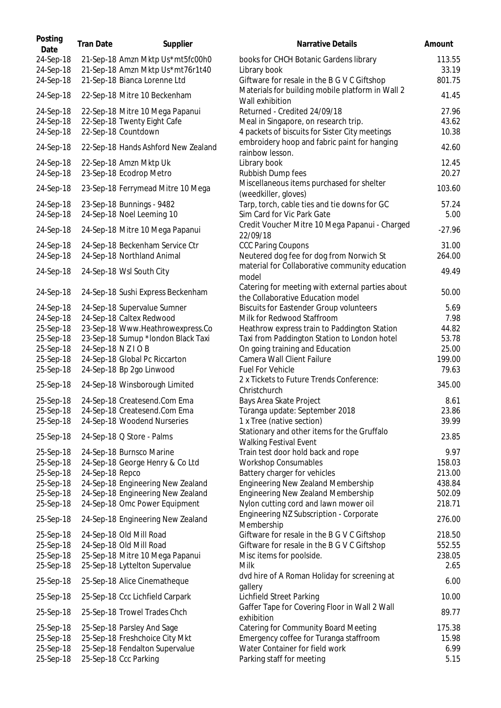| Posting<br>Date        | <b>Tran Date</b>    | Supplier                                                             | Narrative Details                                                                               | Amount          |
|------------------------|---------------------|----------------------------------------------------------------------|-------------------------------------------------------------------------------------------------|-----------------|
| 24-Sep-18<br>24-Sep-18 |                     | 21-Sep-18 Amzn Mktp Us*mt5fc00h0<br>21-Sep-18 Amzn Mktp Us*mt76r1t40 | books for CHCH Botanic Gardens library<br>Library book                                          | 113.55<br>33.19 |
| 24-Sep-18              |                     | 21-Sep-18 Bianca Lorenne Ltd                                         | Giftware for resale in the B G V C Giftshop<br>Materials for building mobile platform in Wall 2 | 801.75          |
| 24-Sep-18              |                     | 22-Sep-18 Mitre 10 Beckenham                                         | Wall exhibition                                                                                 | 41.45           |
| 24-Sep-18              |                     | 22-Sep-18 Mitre 10 Mega Papanui<br>22-Sep-18 Twenty Eight Cafe       | Returned - Credited 24/09/18<br>Meal in Singapore, on research trip.                            | 27.96           |
| 24-Sep-18<br>24-Sep-18 |                     | 22-Sep-18 Countdown                                                  | 4 packets of biscuits for Sister City meetings                                                  | 43.62<br>10.38  |
| 24-Sep-18              |                     | 22-Sep-18 Hands Ashford New Zealand                                  | embroidery hoop and fabric paint for hanging<br>rainbow lesson.                                 | 42.60           |
| 24-Sep-18              |                     | 22-Sep-18 Amzn Mktp Uk                                               | Library book                                                                                    | 12.45           |
| 24-Sep-18              |                     | 23-Sep-18 Ecodrop Metro                                              | Rubbish Dump fees                                                                               | 20.27           |
| 24-Sep-18              |                     | 23-Sep-18 Ferrymead Mitre 10 Mega                                    | Miscellaneous items purchased for shelter<br>(weedkiller, gloves)                               | 103.60          |
| 24-Sep-18              |                     | 23-Sep-18 Bunnings - 9482                                            | Tarp, torch, cable ties and tie downs for GC                                                    | 57.24           |
| 24-Sep-18              |                     | 24-Sep-18 Noel Leeming 10                                            | Sim Card for Vic Park Gate<br>Credit Voucher Mitre 10 Mega Papanui - Charged                    | 5.0C            |
| 24-Sep-18              |                     | 24-Sep-18 Mitre 10 Mega Papanui                                      | 22/09/18                                                                                        | $-27.96$        |
| 24-Sep-18<br>24-Sep-18 |                     | 24-Sep-18 Beckenham Service Ctr<br>24-Sep-18 Northland Animal        | <b>CCC Paring Coupons</b><br>Neutered dog fee for dog from Norwich St                           | 31.00<br>264.00 |
|                        |                     |                                                                      | material for Collaborative community education                                                  |                 |
| 24-Sep-18              |                     | 24-Sep-18 Wsl South City                                             | model                                                                                           | 49.49           |
| 24-Sep-18              |                     | 24-Sep-18 Sushi Express Beckenham                                    | Catering for meeting with external parties about<br>the Collaborative Education model           | 50.00           |
| 24-Sep-18              |                     | 24-Sep-18 Supervalue Sumner                                          | <b>Biscuits for Eastender Group volunteers</b>                                                  | 5.69            |
| 24-Sep-18              |                     | 24-Sep-18 Caltex Redwood                                             | Milk for Redwood Staffroom                                                                      | 7.98            |
| 25-Sep-18              |                     | 23-Sep-18 Www.Heathrowexpress.Co                                     | Heathrow express train to Paddington Station                                                    | 44.82           |
| 25-Sep-18              |                     | 23-Sep-18 Sumup *london Black Taxi                                   | Taxi from Paddington Station to London hotel                                                    | 53.78           |
| 25-Sep-18              | 24-Sep-18 N Z I O B |                                                                      | On going training and Education                                                                 | 25.00           |
| 25-Sep-18<br>25-Sep-18 |                     | 24-Sep-18 Global Pc Riccarton                                        | Camera Wall Client Failure<br><b>Fuel For Vehicle</b>                                           | 199.00          |
|                        |                     | 24-Sep-18 Bp 2go Linwood                                             | 2 x Tickets to Future Trends Conference:                                                        | 79.63           |
| 25-Sep-18              |                     | 24-Sep-18 Winsborough Limited                                        | Christchurch                                                                                    | 345.00          |
| 25-Sep-18              |                     | 24-Sep-18 Createsend.Com Ema                                         | Bays Area Skate Project                                                                         | 8.61            |
| 25-Sep-18              |                     | 24-Sep-18 Createsend.Com Ema                                         | Türanga update: September 2018                                                                  | 23.86           |
| 25-Sep-18              |                     | 24-Sep-18 Woodend Nurseries                                          | 1 x Tree (native section)                                                                       | 39.99           |
| 25-Sep-18              |                     | 24-Sep-18 Q Store - Palms                                            | Stationary and other items for the Gruffalo<br><b>Walking Festival Event</b>                    | 23.85           |
| 25-Sep-18              |                     | 24-Sep-18 Burnsco Marine                                             | Train test door hold back and rope                                                              | 9.97            |
| 25-Sep-18              |                     | 24-Sep-18 George Henry & Co Ltd                                      | <b>Workshop Consumables</b>                                                                     | 158.03          |
| 25-Sep-18              | 24-Sep-18 Repco     |                                                                      | Battery charger for vehicles                                                                    | 213.00          |
| 25-Sep-18              |                     | 24-Sep-18 Engineering New Zealand                                    | Engineering New Zealand Membership                                                              | 438.84          |
| 25-Sep-18              |                     | 24-Sep-18 Engineering New Zealand                                    | <b>Engineering New Zealand Membership</b>                                                       | 502.09          |
| 25-Sep-18              |                     | 24-Sep-18 Omc Power Equipment                                        | Nylon cutting cord and lawn mower oil                                                           | 218.71          |
| 25-Sep-18              |                     | 24-Sep-18 Engineering New Zealand                                    | Engineering NZ Subscription - Corporate<br>Membership                                           | 276.00          |
| 25-Sep-18              |                     | 24-Sep-18 Old Mill Road                                              | Giftware for resale in the B G V C Giftshop                                                     | 218.50          |
| 25-Sep-18              |                     | 24-Sep-18 Old Mill Road                                              | Giftware for resale in the B G V C Giftshop                                                     | 552.55          |
| 25-Sep-18              |                     | 25-Sep-18 Mitre 10 Mega Papanui                                      | Misc items for poolside.                                                                        | 238.05          |
| 25-Sep-18              |                     | 25-Sep-18 Lyttelton Supervalue                                       | Milk                                                                                            | 2.65            |
| 25-Sep-18              |                     | 25-Sep-18 Alice Cinematheque                                         | dvd hire of A Roman Holiday for screening at<br>gallery                                         | 6.00            |
| 25-Sep-18              |                     | 25-Sep-18 Ccc Lichfield Carpark                                      | Lichfield Street Parking                                                                        | 10.00           |
| 25-Sep-18              |                     | 25-Sep-18 Trowel Trades Chch                                         | Gaffer Tape for Covering Floor in Wall 2 Wall<br>exhibition                                     | 89.77           |
| 25-Sep-18              |                     | 25-Sep-18 Parsley And Sage                                           | <b>Catering for Community Board Meeting</b>                                                     | 175.38          |
| 25-Sep-18              |                     | 25-Sep-18 Freshchoice City Mkt                                       | Emergency coffee for Turanga staffroom                                                          | 15.98           |
| 25-Sep-18              |                     | 25-Sep-18 Fendalton Supervalue                                       | Water Container for field work                                                                  | 6.99            |
| 25-Sep-18              |                     | 25-Sep-18 Ccc Parking                                                | Parking staff for meeting                                                                       | 5.15            |